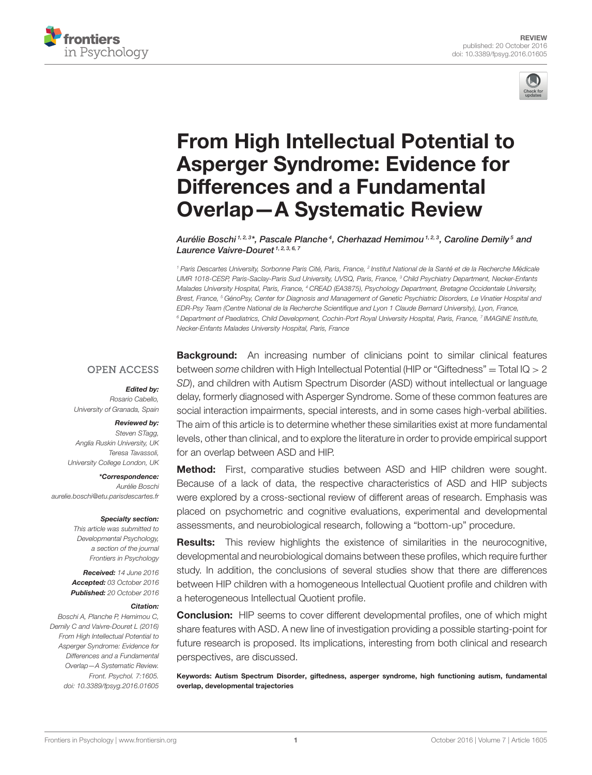



# From High Intellectual Potential to [Asperger Syndrome: Evidence for](http://journal.frontiersin.org/article/10.3389/fpsyg.2016.01605/abstract) Differences and a Fundamental Overlap—A Systematic Review

[Aurélie Boschi](http://loop.frontiersin.org/people/355287/overview) <sup>1, 2, 3</sup>\*, Pascale Planche<sup>4</sup>, Cherhazad Hemimou <sup>1, 2, 3</sup>, [Caroline Demily](http://loop.frontiersin.org/people/298875/overview) <sup>5</sup> and [Laurence Vaivre-Douret](http://loop.frontiersin.org/people/275755/overview)<sup>1, 2, 3, 6, 7</sup>

<sup>1</sup> Paris Descartes University, Sorbonne Paris Cité, Paris, France, <sup>2</sup> Institut National de la Santé et de la Recherche Médicale UMR 1018-CESP, Paris-Saclay-Paris Sud University, UVSQ, Paris, France, <sup>3</sup> Child Psychiatry Department, Necker-Enfants Malades University Hospital, Paris, France, <sup>4</sup> CREAD (EA3875), Psychology Department, Bretagne Occidentale University, Brest, France, <sup>5</sup> GénoPsy, Center for Diagnosis and Management of Genetic Psychiatric Disorders, Le Vinatier Hospital and EDR-Psy Team (Centre National de la Recherche Scientifique and Lyon 1 Claude Bernard University), Lyon, France,  $^6$  Department of Paediatrics, Child Development, Cochin-Port Royal University Hospital, Paris, France, <sup>7</sup> IMAGINE Institute, Necker-Enfants Malades University Hospital, Paris, France

#### **OPEN ACCESS**

#### Edited by:

Rosario Cabello, University of Granada, Spain

#### Reviewed by:

Steven STagg, Anglia Ruskin University, UK Teresa Tavassoli, University College London, UK

\*Correspondence: Aurélie Boschi [aurelie.boschi@etu.parisdescartes.fr](mailto:aurelie.boschi@etu.parisdescartes.fr)

#### Specialty section:

This article was submitted to Developmental Psychology, a section of the journal Frontiers in Psychology

Received: 14 June 2016 Accepted: 03 October 2016 Published: 20 October 2016

#### Citation:

Boschi A, Planche P, Hemimou C, Demily C and Vaivre-Douret L (2016) From High Intellectual Potential to Asperger Syndrome: Evidence for Differences and a Fundamental Overlap—A Systematic Review. Front. Psychol. 7:1605. doi: [10.3389/fpsyg.2016.01605](http://dx.doi.org/10.3389/fpsyg.2016.01605)

**Background:** An increasing number of clinicians point to similar clinical features between some children with High Intellectual Potential (HIP or "Giftedness" = Total IQ  $> 2$ SD), and children with Autism Spectrum Disorder (ASD) without intellectual or language delay, formerly diagnosed with Asperger Syndrome. Some of these common features are social interaction impairments, special interests, and in some cases high-verbal abilities. The aim of this article is to determine whether these similarities exist at more fundamental levels, other than clinical, and to explore the literature in order to provide empirical support for an overlap between ASD and HIP.

Method: First, comparative studies between ASD and HIP children were sought. Because of a lack of data, the respective characteristics of ASD and HIP subjects were explored by a cross-sectional review of different areas of research. Emphasis was placed on psychometric and cognitive evaluations, experimental and developmental assessments, and neurobiological research, following a "bottom-up" procedure.

Results: This review highlights the existence of similarities in the neurocognitive, developmental and neurobiological domains between these profiles, which require further study. In addition, the conclusions of several studies show that there are differences between HIP children with a homogeneous Intellectual Quotient profile and children with a heterogeneous Intellectual Quotient profile.

**Conclusion:** HIP seems to cover different developmental profiles, one of which might share features with ASD. A new line of investigation providing a possible starting-point for future research is proposed. Its implications, interesting from both clinical and research perspectives, are discussed.

Keywords: Autism Spectrum Disorder, giftedness, asperger syndrome, high functioning autism, fundamental overlap, developmental trajectories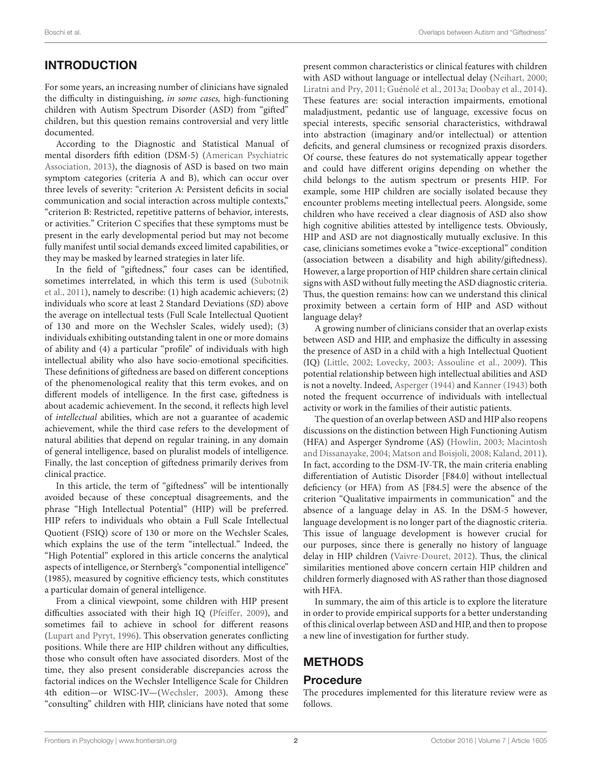# INTRODUCTION

For some years, an increasing number of clinicians have signaled the difficulty in distinguishing, in some cases, high-functioning children with Autism Spectrum Disorder (ASD) from "gifted" children, but this question remains controversial and very little documented.

According to the Diagnostic and Statistical Manual of mental disorders fifth edition (DSM-5) (American Psychiatric Association, [2013\)](#page-13-0), the diagnosis of ASD is based on two main symptom categories (criteria A and B), which can occur over three levels of severity: "criterion A: Persistent deficits in social communication and social interaction across multiple contexts," "criterion B: Restricted, repetitive patterns of behavior, interests, or activities." Criterion C specifies that these symptoms must be present in the early developmental period but may not become fully manifest until social demands exceed limited capabilities, or they may be masked by learned strategies in later life.

In the field of "giftedness," four cases can be identified, sometimes interrelated, in which this term is used (Subotnik et al., [2011\)](#page-15-0), namely to describe: (1) high academic achievers; (2) individuals who score at least 2 Standard Deviations (SD) above the average on intellectual tests (Full Scale Intellectual Quotient of 130 and more on the Wechsler Scales, widely used); (3) individuals exhibiting outstanding talent in one or more domains of ability and (4) a particular "profile" of individuals with high intellectual ability who also have socio-emotional specificities. These definitions of giftedness are based on different conceptions of the phenomenological reality that this term evokes, and on different models of intelligence. In the first case, giftedness is about academic achievement. In the second, it reflects high level of intellectual abilities, which are not a guarantee of academic achievement, while the third case refers to the development of natural abilities that depend on regular training, in any domain of general intelligence, based on pluralist models of intelligence. Finally, the last conception of giftedness primarily derives from clinical practice.

In this article, the term of "giftedness" will be intentionally avoided because of these conceptual disagreements, and the phrase "High Intellectual Potential" (HIP) will be preferred. HIP refers to individuals who obtain a Full Scale Intellectual Quotient (FSIQ) score of 130 or more on the Wechsler Scales, which explains the use of the term "intellectual." Indeed, the "High Potential" explored in this article concerns the analytical aspects of intelligence, or Sternberg's "componential intelligence" (1985), measured by cognitive efficiency tests, which constitutes a particular domain of general intelligence.

From a clinical viewpoint, some children with HIP present difficulties associated with their high IQ [\(Pfeiffer, 2009\)](#page-14-0), and sometimes fail to achieve in school for different reasons [\(Lupart and Pyryt, 1996\)](#page-14-1). This observation generates conflicting positions. While there are HIP children without any difficulties, those who consult often have associated disorders. Most of the time, they also present considerable discrepancies across the factorial indices on the Wechsler Intelligence Scale for Children 4th edition—or WISC-IV—[\(Wechsler, 2003\)](#page-15-1). Among these "consulting" children with HIP, clinicians have noted that some present common characteristics or clinical features with children with ASD without language or intellectual delay [\(Neihart, 2000;](#page-14-2) [Liratni and Pry, 2011;](#page-14-3) [Guénolé et al., 2013a;](#page-13-1) [Doobay et al., 2014\)](#page-13-2). These features are: social interaction impairments, emotional maladjustment, pedantic use of language, excessive focus on special interests, specific sensorial characteristics, withdrawal into abstraction (imaginary and/or intellectual) or attention deficits, and general clumsiness or recognized praxis disorders. Of course, these features do not systematically appear together and could have different origins depending on whether the child belongs to the autism spectrum or presents HIP. For example, some HIP children are socially isolated because they encounter problems meeting intellectual peers. Alongside, some children who have received a clear diagnosis of ASD also show high cognitive abilities attested by intelligence tests. Obviously, HIP and ASD are not diagnostically mutually exclusive. In this case, clinicians sometimes evoke a "twice-exceptional" condition (association between a disability and high ability/giftedness). However, a large proportion of HIP children share certain clinical signs with ASD without fully meeting the ASD diagnostic criteria. Thus, the question remains: how can we understand this clinical proximity between a certain form of HIP and ASD without language delay?

A growing number of clinicians consider that an overlap exists between ASD and HIP, and emphasize the difficulty in assessing the presence of ASD in a child with a high Intellectual Quotient (IQ) [\(Little, 2002;](#page-14-4) [Lovecky, 2003;](#page-14-5) [Assouline et al., 2009\)](#page-13-3). This potential relationship between high intellectual abilities and ASD is not a novelty. Indeed, [Asperger \(1944\)](#page-13-4) and [Kanner \(1943\)](#page-14-6) both noted the frequent occurrence of individuals with intellectual activity or work in the families of their autistic patients.

The question of an overlap between ASD and HIP also reopens discussions on the distinction between High Functioning Autism (HFA) and Asperger Syndrome (AS) [\(Howlin, 2003;](#page-14-7) Macintosh and Dissanayake, [2004;](#page-14-8) [Matson and Boisjoli, 2008;](#page-14-9) [Kaland, 2011\)](#page-14-10). In fact, according to the DSM-IV-TR, the main criteria enabling differentiation of Autistic Disorder [F84.0] without intellectual deficiency (or HFA) from AS [F84.5] were the absence of the criterion "Qualitative impairments in communication" and the absence of a language delay in AS. In the DSM-5 however, language development is no longer part of the diagnostic criteria. This issue of language development is however crucial for our purposes, since there is generally no history of language delay in HIP children [\(Vaivre-Douret, 2012\)](#page-15-2). Thus, the clinical similarities mentioned above concern certain HIP children and children formerly diagnosed with AS rather than those diagnosed with HFA.

In summary, the aim of this article is to explore the literature in order to provide empirical supports for a better understanding of this clinical overlap between ASD and HIP, and then to propose a new line of investigation for further study.

# METHODS

### Procedure

The procedures implemented for this literature review were as follows.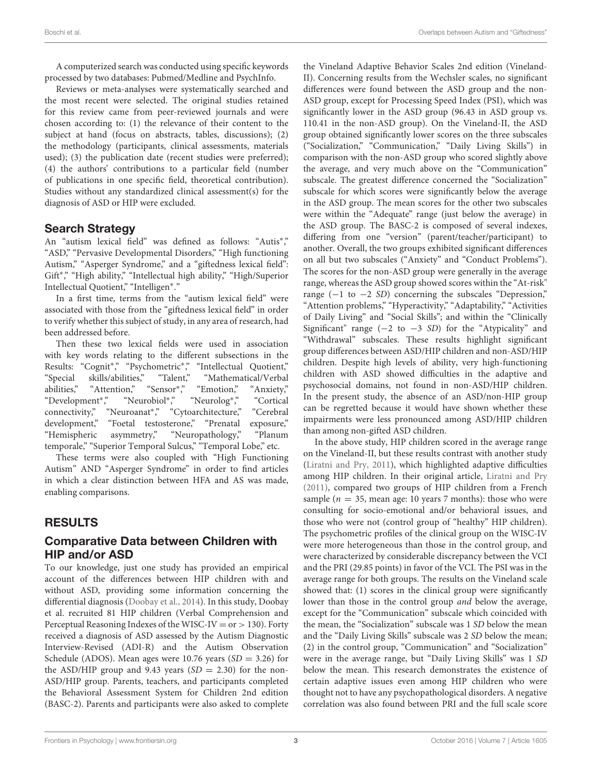A computerized search was conducted using specific keywords processed by two databases: Pubmed/Medline and PsychInfo.

Reviews or meta-analyses were systematically searched and the most recent were selected. The original studies retained for this review came from peer-reviewed journals and were chosen according to: (1) the relevance of their content to the subject at hand (focus on abstracts, tables, discussions); (2) the methodology (participants, clinical assessments, materials used); (3) the publication date (recent studies were preferred); (4) the authors' contributions to a particular field (number of publications in one specific field, theoretical contribution). Studies without any standardized clinical assessment(s) for the diagnosis of ASD or HIP were excluded.

### Search Strategy

An "autism lexical field" was defined as follows: "Autis\*," "ASD," "Pervasive Developmental Disorders," "High functioning Autism," "Asperger Syndrome," and a "giftedness lexical field": Gift<sup>∗</sup> ," "High ability," "Intellectual high ability," "High/Superior Intellectual Quotient," "Intelligen<sup>∗</sup> ."

In a first time, terms from the "autism lexical field" were associated with those from the "giftedness lexical field" in order to verify whether this subject of study, in any area of research, had been addressed before.

Then these two lexical fields were used in association with key words relating to the different subsections in the Results: "Cognit<sup>\*</sup>," "Psychometric<sup>\*</sup>," "Intellectual Quotient," "Special skills/abilities," "Talent," "Mathematical/Verbal abilities," "Attention," "Sensor\*," ," "Emotion," "Anxiety," "Development<sup>∗</sup> ," "Neurobiol<sup>∗</sup> ," "Neurolog<sup>∗</sup> ," "Cortical connectivity," "Neuroanat<sup>∗</sup> ," "Cytoarchitecture," "Cerebral development," "Foetal testosterone," "Prenatal exposure," "Hemispheric asymmetry," "Neuropathology," "Planum temporale," "Superior Temporal Sulcus," "Temporal Lobe," etc.

These terms were also coupled with "High Functioning Autism" AND "Asperger Syndrome" in order to find articles in which a clear distinction between HFA and AS was made, enabling comparisons.

## RESULTS

### Comparative Data between Children with HIP and/or ASD

To our knowledge, just one study has provided an empirical account of the differences between HIP children with and without ASD, providing some information concerning the differential diagnosis [\(Doobay et al., 2014\)](#page-13-2). In this study, Doobay et al. recruited 81 HIP children (Verbal Comprehension and Perceptual Reasoning Indexes of the WISC-IV = or  $> 130$ ). Forty received a diagnosis of ASD assessed by the Autism Diagnostic Interview-Revised (ADI-R) and the Autism Observation Schedule (ADOS). Mean ages were 10.76 years  $(SD = 3.26)$  for the ASD/HIP group and 9.43 years  $(SD = 2.30)$  for the non-ASD/HIP group. Parents, teachers, and participants completed the Behavioral Assessment System for Children 2nd edition (BASC-2). Parents and participants were also asked to complete the Vineland Adaptive Behavior Scales 2nd edition (Vineland-II). Concerning results from the Wechsler scales, no significant differences were found between the ASD group and the non-ASD group, except for Processing Speed Index (PSI), which was significantly lower in the ASD group (96.43 in ASD group vs. 110.41 in the non-ASD group). On the Vineland-II, the ASD group obtained significantly lower scores on the three subscales ("Socialization," "Communication," "Daily Living Skills") in comparison with the non-ASD group who scored slightly above the average, and very much above on the "Communication" subscale. The greatest difference concerned the "Socialization" subscale for which scores were significantly below the average in the ASD group. The mean scores for the other two subscales were within the "Adequate" range (just below the average) in the ASD group. The BASC-2 is composed of several indexes, differing from one "version" (parent/teacher/participant) to another. Overall, the two groups exhibited significant differences on all but two subscales ("Anxiety" and "Conduct Problems"). The scores for the non-ASD group were generally in the average range, whereas the ASD group showed scores within the "At-risk" range  $(-1 \text{ to } -2 \text{ SD})$  concerning the subscales "Depression," "Attention problems," "Hyperactivity," "Adaptability," "Activities of Daily Living" and "Social Skills"; and within the "Clinically Significant" range  $(-2 \text{ to } -3 \text{ SD})$  for the "Atypicality" and "Withdrawal" subscales. These results highlight significant group differences between ASD/HIP children and non-ASD/HIP children. Despite high levels of ability, very high-functioning children with ASD showed difficulties in the adaptive and psychosocial domains, not found in non-ASD/HIP children. In the present study, the absence of an ASD/non-HIP group can be regretted because it would have shown whether these impairments were less pronounced among ASD/HIP children than among non-gifted ASD children.

In the above study, HIP children scored in the average range on the Vineland-II, but these results contrast with another study [\(Liratni and Pry, 2011\)](#page-14-3), which highlighted adaptive difficulties among HIP children. In their original article, [Liratni and Pry](#page-14-3) [\(2011\)](#page-14-3), compared two groups of HIP children from a French sample ( $n = 35$ , mean age: 10 years 7 months): those who were consulting for socio-emotional and/or behavioral issues, and those who were not (control group of "healthy" HIP children). The psychometric profiles of the clinical group on the WISC-IV were more heterogeneous than those in the control group, and were characterized by considerable discrepancy between the VCI and the PRI (29.85 points) in favor of the VCI. The PSI was in the average range for both groups. The results on the Vineland scale showed that: (1) scores in the clinical group were significantly lower than those in the control group and below the average, except for the "Communication" subscale which coincided with the mean, the "Socialization" subscale was 1 SD below the mean and the "Daily Living Skills" subscale was 2 SD below the mean; (2) in the control group, "Communication" and "Socialization" were in the average range, but "Daily Living Skills" was 1 SD below the mean. This research demonstrates the existence of certain adaptive issues even among HIP children who were thought not to have any psychopathological disorders. A negative correlation was also found between PRI and the full scale score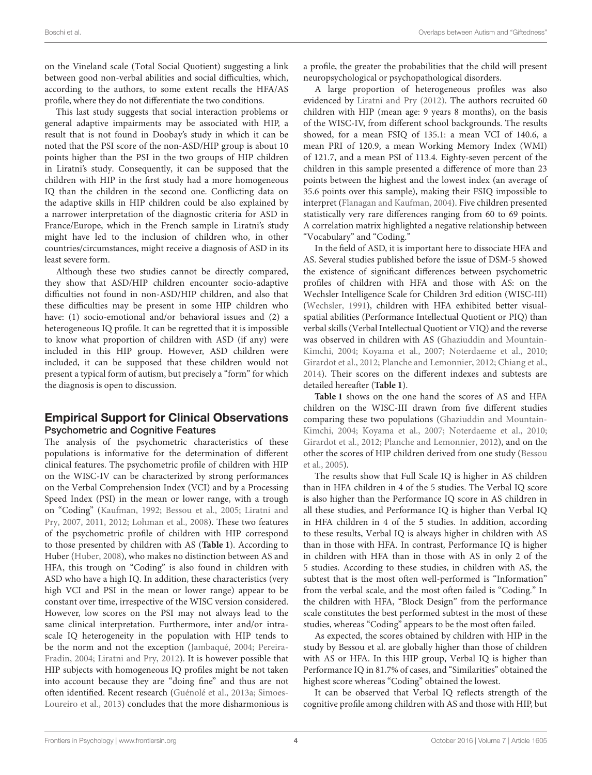on the Vineland scale (Total Social Quotient) suggesting a link between good non-verbal abilities and social difficulties, which, according to the authors, to some extent recalls the HFA/AS profile, where they do not differentiate the two conditions.

This last study suggests that social interaction problems or general adaptive impairments may be associated with HIP, a result that is not found in Doobay's study in which it can be noted that the PSI score of the non-ASD/HIP group is about 10 points higher than the PSI in the two groups of HIP children in Liratni's study. Consequently, it can be supposed that the children with HIP in the first study had a more homogeneous IQ than the children in the second one. Conflicting data on the adaptive skills in HIP children could be also explained by a narrower interpretation of the diagnostic criteria for ASD in France/Europe, which in the French sample in Liratni's study might have led to the inclusion of children who, in other countries/circumstances, might receive a diagnosis of ASD in its least severe form.

Although these two studies cannot be directly compared, they show that ASD/HIP children encounter socio-adaptive difficulties not found in non-ASD/HIP children, and also that these difficulties may be present in some HIP children who have: (1) socio-emotional and/or behavioral issues and (2) a heterogeneous IQ profile. It can be regretted that it is impossible to know what proportion of children with ASD (if any) were included in this HIP group. However, ASD children were included, it can be supposed that these children would not present a typical form of autism, but precisely a "form" for which the diagnosis is open to discussion.

### Empirical Support for Clinical Observations Psychometric and Cognitive Features

The analysis of the psychometric characteristics of these populations is informative for the determination of different clinical features. The psychometric profile of children with HIP on the WISC-IV can be characterized by strong performances on the Verbal Comprehension Index (VCI) and by a Processing Speed Index (PSI) in the mean or lower range, with a trough on "Coding" [\(Kaufman, 1992;](#page-14-11) [Bessou et al., 2005;](#page-13-5) Liratni and Pry, [2007,](#page-14-12) [2011,](#page-14-3) [2012;](#page-14-13) [Lohman et al., 2008\)](#page-14-14). These two features of the psychometric profile of children with HIP correspond to those presented by children with AS (**[Table 1](#page-4-0)**). According to Huber [\(Huber, 2008\)](#page-14-15), who makes no distinction between AS and HFA, this trough on "Coding" is also found in children with ASD who have a high IQ. In addition, these characteristics (very high VCI and PSI in the mean or lower range) appear to be constant over time, irrespective of the WISC version considered. However, low scores on the PSI may not always lead to the same clinical interpretation. Furthermore, inter and/or intrascale IQ heterogeneity in the population with HIP tends to be the norm and not the exception [\(Jambaqué, 2004;](#page-14-16) Pereira-Fradin, [2004;](#page-14-17) [Liratni and Pry, 2012\)](#page-14-13). It is however possible that HIP subjects with homogeneous IQ profiles might be not taken into account because they are "doing fine" and thus are not often identified. Recent research [\(Guénolé et al., 2013a;](#page-13-1) Simoes-Loureiro et al., [2013\)](#page-15-3) concludes that the more disharmonious is a profile, the greater the probabilities that the child will present neuropsychological or psychopathological disorders.

A large proportion of heterogeneous profiles was also evidenced by [Liratni and Pry \(2012\)](#page-14-13). The authors recruited 60 children with HIP (mean age: 9 years 8 months), on the basis of the WISC-IV, from different school backgrounds. The results showed, for a mean FSIQ of 135.1: a mean VCI of 140.6, a mean PRI of 120.9, a mean Working Memory Index (WMI) of 121.7, and a mean PSI of 113.4. Eighty-seven percent of the children in this sample presented a difference of more than 23 points between the highest and the lowest index (an average of 35.6 points over this sample), making their FSIQ impossible to interpret [\(Flanagan and Kaufman, 2004\)](#page-13-6). Five children presented statistically very rare differences ranging from 60 to 69 points. A correlation matrix highlighted a negative relationship between "Vocabulary" and "Coding."

In the field of ASD, it is important here to dissociate HFA and AS. Several studies published before the issue of DSM-5 showed the existence of significant differences between psychometric profiles of children with HFA and those with AS: on the Wechsler Intelligence Scale for Children 3rd edition (WISC-III) [\(Wechsler, 1991\)](#page-15-4), children with HFA exhibited better visualspatial abilities (Performance Intellectual Quotient or PIQ) than verbal skills (Verbal Intellectual Quotient or VIQ) and the reverse was observed in children with AS (Ghaziuddin and Mountain-Kimchi, [2004;](#page-13-7) [Koyama et al., 2007;](#page-14-18) [Noterdaeme et al., 2010;](#page-14-19) [Girardot et al., 2012;](#page-13-8) [Planche and Lemonnier, 2012;](#page-14-20) [Chiang et al.,](#page-13-9) [2014\)](#page-13-9). Their scores on the different indexes and subtests are detailed hereafter (**[Table 1](#page-4-0)**).

**[Table 1](#page-4-0)** shows on the one hand the scores of AS and HFA children on the WISC-III drawn from five different studies comparing these two populations (Ghaziuddin and Mountain-Kimchi, [2004;](#page-13-7) [Koyama et al., 2007;](#page-14-18) [Noterdaeme et al., 2010;](#page-14-19) [Girardot et al., 2012;](#page-13-8) [Planche and Lemonnier, 2012\)](#page-14-20), and on the other the scores of HIP children derived from one study (Bessou et al., [2005\)](#page-13-5).

The results show that Full Scale IQ is higher in AS children than in HFA children in 4 of the 5 studies. The Verbal IQ score is also higher than the Performance IQ score in AS children in all these studies, and Performance IQ is higher than Verbal IQ in HFA children in 4 of the 5 studies. In addition, according to these results, Verbal IQ is always higher in children with AS than in those with HFA. In contrast, Performance IQ is higher in children with HFA than in those with AS in only 2 of the 5 studies. According to these studies, in children with AS, the subtest that is the most often well-performed is "Information" from the verbal scale, and the most often failed is "Coding." In the children with HFA, "Block Design" from the performance scale constitutes the best performed subtest in the most of these studies, whereas "Coding" appears to be the most often failed.

As expected, the scores obtained by children with HIP in the study by Bessou et al. are globally higher than those of children with AS or HFA. In this HIP group, Verbal IQ is higher than Performance IQ in 81.7% of cases, and "Similarities" obtained the highest score whereas "Coding" obtained the lowest.

It can be observed that Verbal IQ reflects strength of the cognitive profile among children with AS and those with HIP, but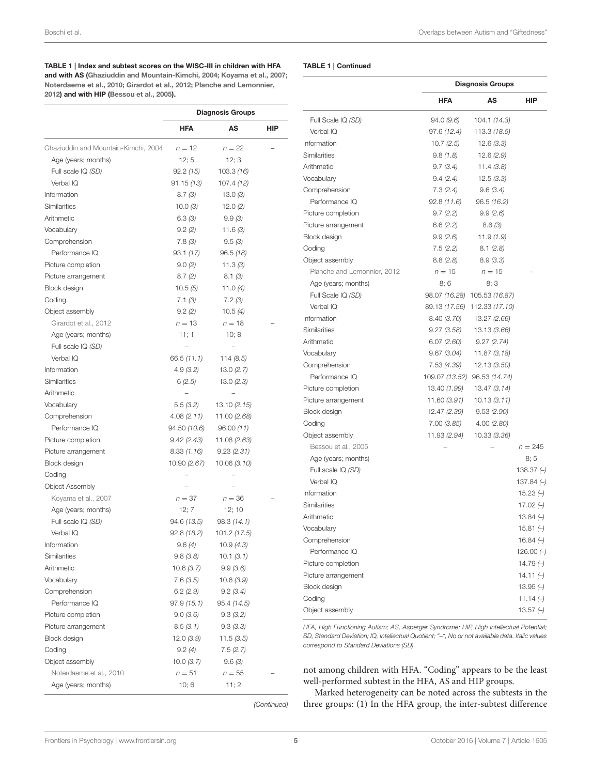#### <span id="page-4-0"></span>TABLE 1 | Index and subtest scores on the WISC-III in children with HFA

and with AS [\(Ghaziuddin and Mountain-Kimchi, 2004;](#page-13-7) [Koyama et al., 2007;](#page-14-18) [Noterdaeme et al., 2010;](#page-14-19) [Girardot et al., 2012;](#page-13-8) [Planche and Lemonnier,](#page-14-20) [2012\)](#page-14-20) and with HIP [\(Bessou et al., 2005\)](#page-13-5).

|                                      | <b>Diagnosis Groups</b> |              |     |  |
|--------------------------------------|-------------------------|--------------|-----|--|
|                                      | <b>HFA</b>              | AS           | HIP |  |
| Ghaziuddin and Mountain-Kimchi, 2004 | $n = 12$                | $n = 22$     |     |  |
| Age (years; months)                  | 12; 5                   | 12; 3        |     |  |
| Full scale IQ (SD)                   | 92.2(15)                | 103.3(16)    |     |  |
| Verbal IQ                            | 91.15 (13)              | 107.4 (12)   |     |  |
| Information                          | 8.7(3)                  | 13.0(3)      |     |  |
| Similarities                         | 10.0(3)                 | 12.0(2)      |     |  |
| Arithmetic                           | 6.3(3)                  | 9.9(3)       |     |  |
| Vocabulary                           | 9.2(2)                  | 11.6(3)      |     |  |
| Comprehension                        | 7.8(3)                  | 9.5(3)       |     |  |
| Performance IQ                       | 93.1(17)                | 96.5(18)     |     |  |
| Picture completion                   | 9.0(2)                  | 11.3(3)      |     |  |
| Picture arrangement                  | 8.7(2)                  | 8.1(3)       |     |  |
| Block design                         | 10.5(5)                 | 11.0 $(4)$   |     |  |
| Coding                               | 7.1(3)                  | 7.2(3)       |     |  |
| Object assembly                      | 9.2(2)                  | 10.5(4)      |     |  |
| Girardot et al., 2012                | $n = 13$                | $n = 18$     |     |  |
| Age (years; months)                  | 11; 1                   | 10; 8        |     |  |
| Full scale IQ (SD)                   |                         |              |     |  |
| Verbal IQ                            | 66.5 (11.1)             | 114(8.5)     |     |  |
| Information                          | 4.9(3.2)                | 13.0(2.7)    |     |  |
| Similarities                         | 6(2.5)                  | 13.0(2.3)    |     |  |
| Arithmetic                           |                         |              |     |  |
| Vocabulary                           | 5.5 (3.2)               | 13.10 (2.15) |     |  |
| Comprehension                        | 4.08(2.11)              | 11.00 (2.68) |     |  |
| Performance IQ                       | 94.50 (10.6)            | 96.00(11)    |     |  |
| Picture completion                   | 9.42 (2.43)             | 11.08 (2.63) |     |  |
| Picture arrangement                  | 8.33 (1.16)             | 9.23(2.31)   |     |  |
| Block design                         | 10.90 (2.67)            | 10.06 (3.10) |     |  |
| Coding                               |                         |              |     |  |
| <b>Object Assembly</b>               |                         |              |     |  |
| Koyama et al., 2007                  | $n = 37$                | $n = 36$     |     |  |
| Age (years; months)                  | 12; 7                   | 12;10        |     |  |
| Full scale IQ (SD)                   | 94.6 (13.5)             | 98.3(14.1)   |     |  |
| Verbal IO                            | 92.8 (18.2)             | 101.2 (17.5) |     |  |
| Information                          | 9.6(4)                  | 10.9(4.3)    |     |  |
| Similarities                         | 9.8(3.8)                | 10.1 (3.1)   |     |  |
| Arithmetic                           | 10.6 (3.7)              | 9.9(3.6)     |     |  |
| Vocabulary                           | 7.6(3.5)                | 10.6(3.9)    |     |  |
| Comprehension                        | 6.2(2.9)                | 9.2(3.4)     |     |  |
| Performance IQ                       | 97.9 (15.1)             | 95.4 (14.5)  |     |  |
| Picture completion                   | 9.0 (3.6)               | 9.3(3.2)     |     |  |
| Picture arrangement                  | 8.5(3.1)                | 9.3(3.3)     |     |  |
| <b>Block design</b>                  | 12.0(3.9)               | 11.5 (3.5)   |     |  |
| Coding                               | 9.2(4)                  | 7.5(2.7)     |     |  |
| Object assembly                      | 10.0 (3.7)              | 9.6(3)       |     |  |
| Noterdaeme et al., 2010              | $n = 51$                | $n = 55$     |     |  |
| Age (years; months)                  | 10; 6                   | 11; 2        |     |  |
|                                      |                         |              |     |  |

#### TABLE 1 | Continued

|                             |                | <b>Diagnosis Groups</b>      |              |  |  |
|-----------------------------|----------------|------------------------------|--------------|--|--|
|                             | <b>HFA</b>     | AS                           | HIP          |  |  |
| Full Scale IQ (SD)          | 94.0 (9.6)     | 104.1 (14.3)                 |              |  |  |
| Verbal IQ                   | 97.6 (12.4)    | 113.3 (18.5)                 |              |  |  |
| Information                 | 10.7(2.5)      | 12.6(3.3)                    |              |  |  |
| Similarities                | 9.8(1.8)       | 12.6(2.9)                    |              |  |  |
| Arithmetic                  | 9.7(3.4)       | 11.4(3.8)                    |              |  |  |
| Vocabulary                  | 9.4(2.4)       | 12.5(3.3)                    |              |  |  |
| Comprehension               | 7.3(2.4)       | 9.6(3.4)                     |              |  |  |
| Performance IQ              | 92.8(11.6)     | 96.5 (16.2)                  |              |  |  |
| Picture completion          | 9.7(2.2)       | 9.9(2.6)                     |              |  |  |
| Picture arrangement         | 6.6(2.2)       | 8.6(3)                       |              |  |  |
| Block design                | 9.9(2.6)       | 11.9(1.9)                    |              |  |  |
| Coding                      | 7.5 (2.2)      | 8.1(2.8)                     |              |  |  |
| Object assembly             | 8.8(2.8)       | 8.9(3.3)                     |              |  |  |
| Planche and Lemonnier, 2012 | $n = 15$       | $n = 15$                     |              |  |  |
| Age (years; months)         | 8;6            | 8:3                          |              |  |  |
| Full Scale IQ (SD)          |                | 98.07 (16.28) 105.53 (16.87) |              |  |  |
| Verbal IQ                   |                | 89.13 (17.56) 112.33 (17.10) |              |  |  |
| Information                 | 8.40 (3.70)    | 13.27 (2.66)                 |              |  |  |
| Similarities                | 9.27 (3.58)    | 13.13 (3.66)                 |              |  |  |
| Arithmetic                  | 6.07 (2.60)    | 9.27(2.74)                   |              |  |  |
| Vocabulary                  | 9.67 (3.04)    | 11.87 (3.18)                 |              |  |  |
| Comprehension               | 7.53 (4.39)    | 12.13 (3.50)                 |              |  |  |
| Performance IQ              | 109.07 (13.52) | 96.53 (14.74)                |              |  |  |
| Picture completion          | 13.40 (1.99)   | 13.47 (3.14)                 |              |  |  |
| Picture arrangement         | 11.60 (3.91)   | 10.13(3.11)                  |              |  |  |
| Block design                | 12.47 (2.39)   | 9.53 (2.90)                  |              |  |  |
| Coding                      | 7.00 (3.85)    | 4.00 (2.80)                  |              |  |  |
| Object assembly             | 11.93 (2.94)   | 10.33 (3.36)                 |              |  |  |
| Bessou et al., 2005         |                |                              | $n = 245$    |  |  |
| Age (years; months)         |                |                              | 8; 5         |  |  |
| Full scale IQ (SD)          |                |                              | 138.37 $(-)$ |  |  |
| Verbal IQ                   |                |                              | 137.84 $(-)$ |  |  |
| Information                 |                |                              | 15.23 $(-)$  |  |  |
| Similarities                |                |                              | 17.02 $(-)$  |  |  |
| Arithmetic                  |                |                              | $13.84 (-)$  |  |  |
| Vocabulary                  |                |                              | 15.81 $(-)$  |  |  |
| Comprehension               |                |                              | 16.84 $(-)$  |  |  |
| Performance IQ              |                |                              | 126.00 $($   |  |  |
| Picture completion          |                |                              | 14.79 $(-)$  |  |  |
| Picture arrangement         |                |                              | 14.11 $(-)$  |  |  |
| Block design                |                |                              | 13.95 $(-)$  |  |  |
| Coding                      |                |                              | 11.14 $(-)$  |  |  |
| Object assembly             |                |                              | 13.57 $(-)$  |  |  |
|                             |                |                              |              |  |  |

HFA, High Functioning Autism; AS, Asperger Syndrome; HIP, High Intellectual Potential; SD, Standard Deviation; IQ, Intellectual Quotient; "–", No or not available data. Italic values correspond to Standard Deviations (SD).

not among children with HFA. "Coding" appears to be the least well-performed subtest in the HFA, AS and HIP groups.

Marked heterogeneity can be noted across the subtests in the three groups: (1) In the HFA group, the inter-subtest difference

(Continued)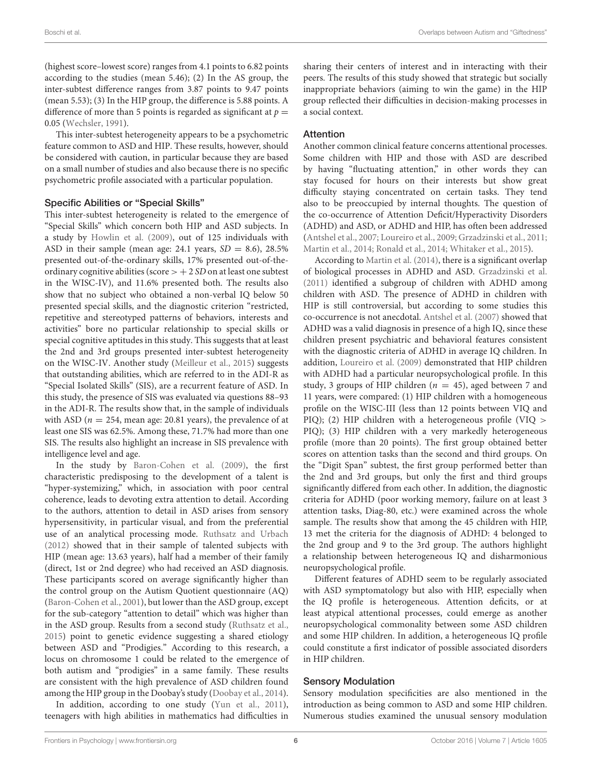(highest score–lowest score) ranges from 4.1 points to 6.82 points according to the studies (mean 5.46); (2) In the AS group, the inter-subtest difference ranges from 3.87 points to 9.47 points (mean 5.53); (3) In the HIP group, the difference is 5.88 points. A difference of more than 5 points is regarded as significant at  $p =$ 0.05 [\(Wechsler, 1991\)](#page-15-4).

This inter-subtest heterogeneity appears to be a psychometric feature common to ASD and HIP. These results, however, should be considered with caution, in particular because they are based on a small number of studies and also because there is no specific psychometric profile associated with a particular population.

#### Specific Abilities or "Special Skills"

This inter-subtest heterogeneity is related to the emergence of "Special Skills" which concern both HIP and ASD subjects. In a study by [Howlin et al. \(2009\)](#page-14-21), out of 125 individuals with ASD in their sample (mean age: 24.1 years,  $SD = 8.6$ ), 28.5% presented out-of-the-ordinary skills, 17% presented out-of-theordinary cognitive abilities (score  $> + 2 SD$  on at least one subtest in the WISC-IV), and 11.6% presented both. The results also show that no subject who obtained a non-verbal IQ below 50 presented special skills, and the diagnostic criterion "restricted, repetitive and stereotyped patterns of behaviors, interests and activities" bore no particular relationship to special skills or special cognitive aptitudes in this study. This suggests that at least the 2nd and 3rd groups presented inter-subtest heterogeneity on the WISC-IV. Another study [\(Meilleur et al., 2015\)](#page-14-22) suggests that outstanding abilities, which are referred to in the ADI-R as "Special Isolated Skills" (SIS), are a recurrent feature of ASD. In this study, the presence of SIS was evaluated via questions 88–93 in the ADI-R. The results show that, in the sample of individuals with ASD ( $n = 254$ , mean age: 20.81 years), the prevalence of at least one SIS was 62.5%. Among these, 71.7% had more than one SIS. The results also highlight an increase in SIS prevalence with intelligence level and age.

In the study by [Baron-Cohen et al. \(2009\)](#page-13-10), the first characteristic predisposing to the development of a talent is "hyper-systemizing," which, in association with poor central coherence, leads to devoting extra attention to detail. According to the authors, attention to detail in ASD arises from sensory hypersensitivity, in particular visual, and from the preferential use of an analytical processing mode. [Ruthsatz and Urbach](#page-15-5) [\(2012\)](#page-15-5) showed that in their sample of talented subjects with HIP (mean age: 13.63 years), half had a member of their family (direct, 1st or 2nd degree) who had received an ASD diagnosis. These participants scored on average significantly higher than the control group on the Autism Quotient questionnaire (AQ) [\(Baron-Cohen et al., 2001\)](#page-13-11), but lower than the ASD group, except for the sub-category "attention to detail" which was higher than in the ASD group. Results from a second study [\(Ruthsatz et al.,](#page-15-6) [2015\)](#page-15-6) point to genetic evidence suggesting a shared etiology between ASD and "Prodigies." According to this research, a locus on chromosome 1 could be related to the emergence of both autism and "prodigies" in a same family. These results are consistent with the high prevalence of ASD children found among the HIP group in the Doobay's study [\(Doobay et al., 2014\)](#page-13-2).

In addition, according to one study [\(Yun et al., 2011\)](#page-15-7), teenagers with high abilities in mathematics had difficulties in sharing their centers of interest and in interacting with their peers. The results of this study showed that strategic but socially inappropriate behaviors (aiming to win the game) in the HIP group reflected their difficulties in decision-making processes in a social context.

#### Attention

Another common clinical feature concerns attentional processes. Some children with HIP and those with ASD are described by having "fluctuating attention," in other words they can stay focused for hours on their interests but show great difficulty staying concentrated on certain tasks. They tend also to be preoccupied by internal thoughts. The question of the co-occurrence of Attention Deficit/Hyperactivity Disorders (ADHD) and ASD, or ADHD and HIP, has often been addressed [\(Antshel et al., 2007;](#page-13-12) [Loureiro et al., 2009;](#page-14-23) [Grzadzinski et al., 2011;](#page-13-13) [Martin et al., 2014;](#page-14-24) [Ronald et al., 2014;](#page-15-8) [Whitaker et al., 2015\)](#page-15-9).

According to [Martin et al. \(2014\)](#page-14-24), there is a significant overlap of biological processes in ADHD and ASD. [Grzadzinski et al.](#page-13-13) [\(2011\)](#page-13-13) identified a subgroup of children with ADHD among children with ASD. The presence of ADHD in children with HIP is still controversial, but according to some studies this co-occurrence is not anecdotal. [Antshel et al. \(2007\)](#page-13-12) showed that ADHD was a valid diagnosis in presence of a high IQ, since these children present psychiatric and behavioral features consistent with the diagnostic criteria of ADHD in average IQ children. In addition, [Loureiro et al. \(2009\)](#page-14-23) demonstrated that HIP children with ADHD had a particular neuropsychological profile. In this study, 3 groups of HIP children ( $n = 45$ ), aged between 7 and 11 years, were compared: (1) HIP children with a homogeneous profile on the WISC-III (less than 12 points between VIQ and PIQ); (2) HIP children with a heterogeneous profile (VIQ > PIQ); (3) HIP children with a very markedly heterogeneous profile (more than 20 points). The first group obtained better scores on attention tasks than the second and third groups. On the "Digit Span" subtest, the first group performed better than the 2nd and 3rd groups, but only the first and third groups significantly differed from each other. In addition, the diagnostic criteria for ADHD (poor working memory, failure on at least 3 attention tasks, Diag-80, etc.) were examined across the whole sample. The results show that among the 45 children with HIP, 13 met the criteria for the diagnosis of ADHD: 4 belonged to the 2nd group and 9 to the 3rd group. The authors highlight a relationship between heterogeneous IQ and disharmonious neuropsychological profile.

Different features of ADHD seem to be regularly associated with ASD symptomatology but also with HIP, especially when the IQ profile is heterogeneous. Attention deficits, or at least atypical attentional processes, could emerge as another neuropsychological commonality between some ASD children and some HIP children. In addition, a heterogeneous IQ profile could constitute a first indicator of possible associated disorders in HIP children.

#### Sensory Modulation

Sensory modulation specificities are also mentioned in the introduction as being common to ASD and some HIP children. Numerous studies examined the unusual sensory modulation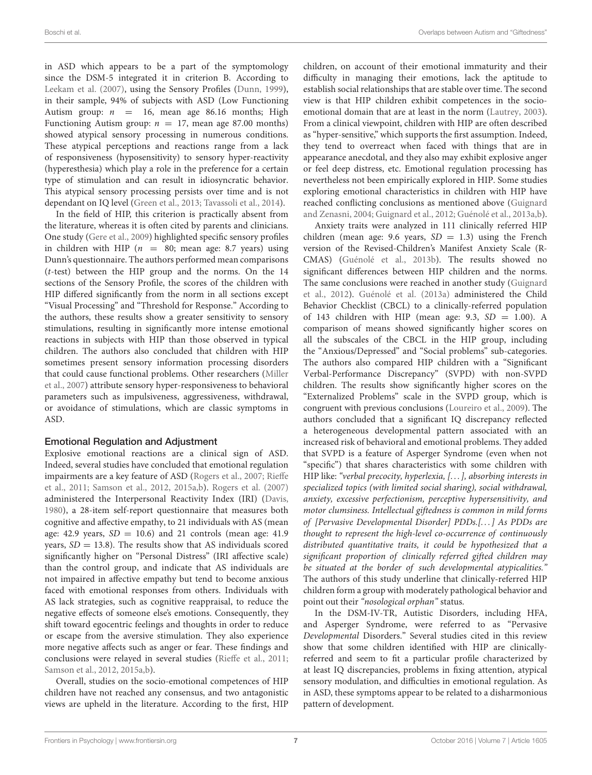in ASD which appears to be a part of the symptomology since the DSM-5 integrated it in criterion B. According to [Leekam et al. \(2007\)](#page-14-25), using the Sensory Profiles [\(Dunn, 1999\)](#page-13-14), in their sample, 94% of subjects with ASD (Low Functioning Autism group:  $n = 16$ , mean age 86.16 months; High Functioning Autism group:  $n = 17$ , mean age 87.00 months) showed atypical sensory processing in numerous conditions. These atypical perceptions and reactions range from a lack of responsiveness (hyposensitivity) to sensory hyper-reactivity (hyperesthesia) which play a role in the preference for a certain type of stimulation and can result in idiosyncratic behavior. This atypical sensory processing persists over time and is not dependant on IQ level [\(Green et al., 2013;](#page-13-15) [Tavassoli et al., 2014\)](#page-15-10).

In the field of HIP, this criterion is practically absent from the literature, whereas it is often cited by parents and clinicians. One study [\(Gere et al., 2009\)](#page-13-16) highlighted specific sensory profiles in children with HIP ( $n = 80$ ; mean age: 8.7 years) using Dunn's questionnaire. The authors performed mean comparisons (t-test) between the HIP group and the norms. On the 14 sections of the Sensory Profile, the scores of the children with HIP differed significantly from the norm in all sections except "Visual Processing" and "Threshold for Response." According to the authors, these results show a greater sensitivity to sensory stimulations, resulting in significantly more intense emotional reactions in subjects with HIP than those observed in typical children. The authors also concluded that children with HIP sometimes present sensory information processing disorders that could cause functional problems. Other researchers (Miller et al., [2007\)](#page-14-26) attribute sensory hyper-responsiveness to behavioral parameters such as impulsiveness, aggressiveness, withdrawal, or avoidance of stimulations, which are classic symptoms in ASD.

#### Emotional Regulation and Adjustment

Explosive emotional reactions are a clinical sign of ASD. Indeed, several studies have concluded that emotional regulation impairments are a key feature of ASD [\(Rogers et al., 2007;](#page-15-11) Rieffe et al., [2011;](#page-15-12) [Samson et al., 2012,](#page-15-13) [2015a,](#page-15-14)[b\)](#page-15-15). [Rogers et al. \(2007\)](#page-15-11) administered the Interpersonal Reactivity Index (IRI) [\(Davis,](#page-13-17) [1980\)](#page-13-17), a 28-item self-report questionnaire that measures both cognitive and affective empathy, to 21 individuals with AS (mean age: 42.9 years,  $SD = 10.6$ ) and 21 controls (mean age: 41.9 years,  $SD = 13.8$ ). The results show that AS individuals scored significantly higher on "Personal Distress" (IRI affective scale) than the control group, and indicate that AS individuals are not impaired in affective empathy but tend to become anxious faced with emotional responses from others. Individuals with AS lack strategies, such as cognitive reappraisal, to reduce the negative effects of someone else's emotions. Consequently, they shift toward egocentric feelings and thoughts in order to reduce or escape from the aversive stimulation. They also experience more negative affects such as anger or fear. These findings and conclusions were relayed in several studies [\(Rieffe et al., 2011;](#page-15-12) [Samson et al., 2012,](#page-15-13) [2015a,](#page-15-14)[b\)](#page-15-15).

Overall, studies on the socio-emotional competences of HIP children have not reached any consensus, and two antagonistic views are upheld in the literature. According to the first, HIP children, on account of their emotional immaturity and their difficulty in managing their emotions, lack the aptitude to establish social relationships that are stable over time. The second view is that HIP children exhibit competences in the socioemotional domain that are at least in the norm [\(Lautrey, 2003\)](#page-14-27). From a clinical viewpoint, children with HIP are often described as "hyper-sensitive," which supports the first assumption. Indeed, they tend to overreact when faced with things that are in appearance anecdotal, and they also may exhibit explosive anger or feel deep distress, etc. Emotional regulation processing has nevertheless not been empirically explored in HIP. Some studies exploring emotional characteristics in children with HIP have reached conflicting conclusions as mentioned above (Guignard and Zenasni, [2004;](#page-13-18) [Guignard et al., 2012;](#page-13-19) [Guénolé et al., 2013a](#page-13-1)[,b\)](#page-13-20).

Anxiety traits were analyzed in 111 clinically referred HIP children (mean age: 9.6 years,  $SD = 1.3$ ) using the French version of the Revised-Children's Manifest Anxiety Scale (R-CMAS) [\(Guénolé et al., 2013b\)](#page-13-20). The results showed no significant differences between HIP children and the norms. The same conclusions were reached in another study (Guignard et al., [2012\)](#page-13-19). [Guénolé et al. \(2013a\)](#page-13-1) administered the Child Behavior Checklist (CBCL) to a clinically-referred population of 143 children with HIP (mean age: 9.3,  $SD = 1.00$ ). A comparison of means showed significantly higher scores on all the subscales of the CBCL in the HIP group, including the "Anxious/Depressed" and "Social problems" sub-categories. The authors also compared HIP children with a "Significant Verbal-Performance Discrepancy" (SVPD) with non-SVPD children. The results show significantly higher scores on the "Externalized Problems" scale in the SVPD group, which is congruent with previous conclusions [\(Loureiro et al., 2009\)](#page-14-23). The authors concluded that a significant IQ discrepancy reflected a heterogeneous developmental pattern associated with an increased risk of behavioral and emotional problems. They added that SVPD is a feature of Asperger Syndrome (even when not "specific") that shares characteristics with some children with HIP like: "verbal precocity, hyperlexia, [...], absorbing interests in specialized topics (with limited social sharing), social withdrawal, anxiety, excessive perfectionism, perceptive hypersensitivity, and motor clumsiness. Intellectual giftedness is common in mild forms of [Pervasive Developmental Disorder] PDDs.[. . . ] As PDDs are thought to represent the high-level co-occurrence of continuously distributed quantitative traits, it could be hypothesized that a significant proportion of clinically referred gifted children may be situated at the border of such developmental atypicalities." The authors of this study underline that clinically-referred HIP children form a group with moderately pathological behavior and point out their "nosological orphan" status.

In the DSM-IV-TR, Autistic Disorders, including HFA, and Asperger Syndrome, were referred to as "Pervasive Developmental Disorders." Several studies cited in this review show that some children identified with HIP are clinicallyreferred and seem to fit a particular profile characterized by at least IQ discrepancies, problems in fixing attention, atypical sensory modulation, and difficulties in emotional regulation. As in ASD, these symptoms appear to be related to a disharmonious pattern of development.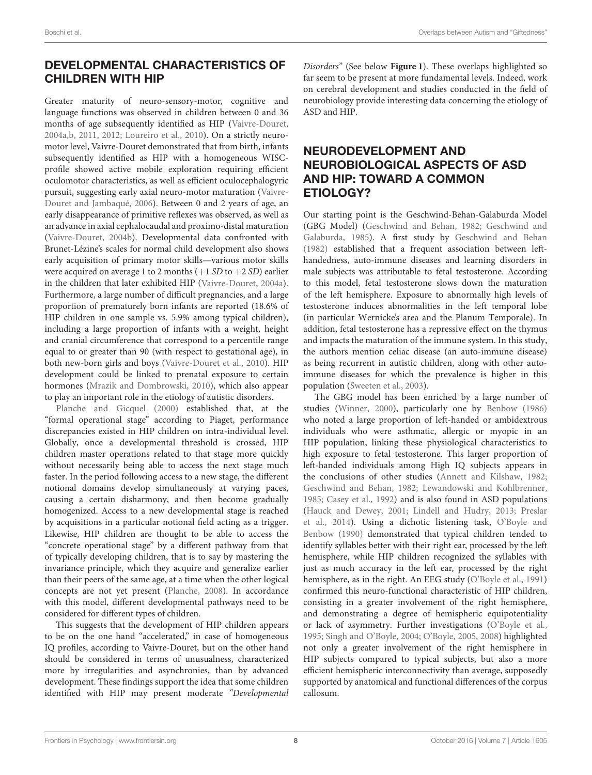## DEVELOPMENTAL CHARACTERISTICS OF CHILDREN WITH HIP

Greater maturity of neuro-sensory-motor, cognitive and language functions was observed in children between 0 and 36 months of age subsequently identified as HIP [\(Vaivre-Douret,](#page-15-16) [2004a](#page-15-16)[,b,](#page-15-17) [2011,](#page-15-18) [2012;](#page-15-2) [Loureiro et al., 2010\)](#page-14-28). On a strictly neuromotor level, Vaivre-Douret demonstrated that from birth, infants subsequently identified as HIP with a homogeneous WISCprofile showed active mobile exploration requiring efficient oculomotor characteristics, as well as efficient oculocephalogyric pursuit, suggesting early axial neuro-motor maturation (Vaivre-Douret and Jambaqué, [2006\)](#page-15-19). Between 0 and 2 years of age, an early disappearance of primitive reflexes was observed, as well as an advance in axial cephalocaudal and proximo-distal maturation [\(Vaivre-Douret, 2004b\)](#page-15-17). Developmental data confronted with Brunet-Lézine's scales for normal child development also shows early acquisition of primary motor skills—various motor skills were acquired on average 1 to 2 months  $(+1 SD$  to  $+2 SD)$  earlier in the children that later exhibited HIP [\(Vaivre-Douret, 2004a\)](#page-15-16). Furthermore, a large number of difficult pregnancies, and a large proportion of prematurely born infants are reported (18.6% of HIP children in one sample vs. 5.9% among typical children), including a large proportion of infants with a weight, height and cranial circumference that correspond to a percentile range equal to or greater than 90 (with respect to gestational age), in both new-born girls and boys [\(Vaivre-Douret et al., 2010\)](#page-15-20). HIP development could be linked to prenatal exposure to certain hormones [\(Mrazik and Dombrowski, 2010\)](#page-14-29), which also appear to play an important role in the etiology of autistic disorders.

[Planche and Gicquel \(2000\)](#page-14-30) established that, at the "formal operational stage" according to Piaget, performance discrepancies existed in HIP children on intra-individual level. Globally, once a developmental threshold is crossed, HIP children master operations related to that stage more quickly without necessarily being able to access the next stage much faster. In the period following access to a new stage, the different notional domains develop simultaneously at varying paces, causing a certain disharmony, and then become gradually homogenized. Access to a new developmental stage is reached by acquisitions in a particular notional field acting as a trigger. Likewise, HIP children are thought to be able to access the "concrete operational stage" by a different pathway from that of typically developing children, that is to say by mastering the invariance principle, which they acquire and generalize earlier than their peers of the same age, at a time when the other logical concepts are not yet present [\(Planche, 2008\)](#page-14-31). In accordance with this model, different developmental pathways need to be considered for different types of children.

This suggests that the development of HIP children appears to be on the one hand "accelerated," in case of homogeneous IQ profiles, according to Vaivre-Douret, but on the other hand should be considered in terms of unusualness, characterized more by irregularities and asynchronies, than by advanced development. These findings support the idea that some children identified with HIP may present moderate "Developmental Disorders" (See below **[Figure 1](#page-8-0)**). These overlaps highlighted so far seem to be present at more fundamental levels. Indeed, work on cerebral development and studies conducted in the field of neurobiology provide interesting data concerning the etiology of ASD and HIP.

### NEURODEVELOPMENT AND NEUROBIOLOGICAL ASPECTS OF ASD AND HIP: TOWARD A COMMON ETIOLOGY?

Our starting point is the Geschwind-Behan-Galaburda Model (GBG Model) [\(Geschwind and Behan, 1982;](#page-13-21) Geschwind and Galaburda, [1985\)](#page-13-22). A first study by [Geschwind and Behan](#page-13-21) [\(1982\)](#page-13-21) established that a frequent association between lefthandedness, auto-immune diseases and learning disorders in male subjects was attributable to fetal testosterone. According to this model, fetal testosterone slows down the maturation of the left hemisphere. Exposure to abnormally high levels of testosterone induces abnormalities in the left temporal lobe (in particular Wernicke's area and the Planum Temporale). In addition, fetal testosterone has a repressive effect on the thymus and impacts the maturation of the immune system. In this study, the authors mention celiac disease (an auto-immune disease) as being recurrent in autistic children, along with other autoimmune diseases for which the prevalence is higher in this population [\(Sweeten et al., 2003\)](#page-15-21).

The GBG model has been enriched by a large number of studies [\(Winner, 2000\)](#page-15-22), particularly one by [Benbow \(1986\)](#page-13-23) who noted a large proportion of left-handed or ambidextrous individuals who were asthmatic, allergic or myopic in an HIP population, linking these physiological characteristics to high exposure to fetal testosterone. This larger proportion of left-handed individuals among High IQ subjects appears in the conclusions of other studies [\(Annett and Kilshaw, 1982;](#page-13-24) [Geschwind and Behan, 1982;](#page-13-21) [Lewandowski and Kohlbrenner,](#page-14-32) [1985;](#page-14-32) [Casey et al., 1992\)](#page-13-25) and is also found in ASD populations [\(Hauck and Dewey, 2001;](#page-13-26) [Lindell and Hudry, 2013;](#page-14-33) Preslar et al., [2014\)](#page-15-23). Using a dichotic listening task, O'Boyle and Benbow [\(1990\)](#page-14-34) demonstrated that typical children tended to identify syllables better with their right ear, processed by the left hemisphere, while HIP children recognized the syllables with just as much accuracy in the left ear, processed by the right hemisphere, as in the right. An EEG study [\(O'Boyle et al., 1991\)](#page-14-35) confirmed this neuro-functional characteristic of HIP children, consisting in a greater involvement of the right hemisphere, and demonstrating a degree of hemispheric equipotentiality or lack of asymmetry. Further investigations [\(O'Boyle et al.,](#page-14-36) [1995;](#page-14-36) [Singh and O'Boyle, 2004;](#page-15-24) [O'Boyle, 2005,](#page-14-37) [2008\)](#page-14-38) highlighted not only a greater involvement of the right hemisphere in HIP subjects compared to typical subjects, but also a more efficient hemispheric interconnectivity than average, supposedly supported by anatomical and functional differences of the corpus callosum.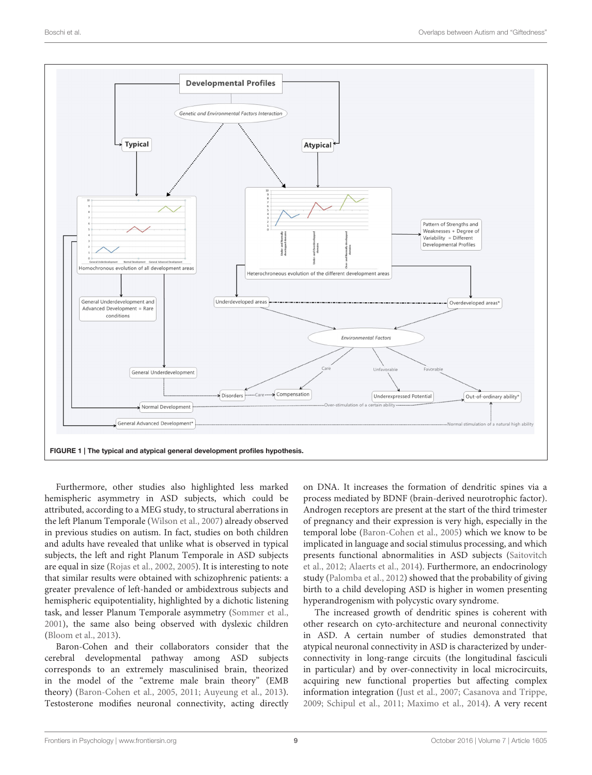

<span id="page-8-0"></span>Furthermore, other studies also highlighted less marked hemispheric asymmetry in ASD subjects, which could be attributed, according to a MEG study, to structural aberrations in the left Planum Temporale [\(Wilson et al., 2007\)](#page-15-25) already observed in previous studies on autism. In fact, studies on both children and adults have revealed that unlike what is observed in typical subjects, the left and right Planum Temporale in ASD subjects are equal in size [\(Rojas et al., 2002,](#page-15-26) [2005\)](#page-15-27). It is interesting to note that similar results were obtained with schizophrenic patients: a greater prevalence of left-handed or ambidextrous subjects and hemispheric equipotentiality, highlighted by a dichotic listening task, and lesser Planum Temporale asymmetry [\(Sommer et al.,](#page-15-28) [2001\)](#page-15-28), the same also being observed with dyslexic children [\(Bloom et al., 2013\)](#page-13-27).

Baron-Cohen and their collaborators consider that the cerebral developmental pathway among ASD subjects corresponds to an extremely masculinised brain, theorized in the model of the "extreme male brain theory" (EMB theory) [\(Baron-Cohen et al., 2005,](#page-13-28) [2011;](#page-13-29) [Auyeung et al., 2013\)](#page-13-30). Testosterone modifies neuronal connectivity, acting directly on DNA. It increases the formation of dendritic spines via a process mediated by BDNF (brain-derived neurotrophic factor). Androgen receptors are present at the start of the third trimester of pregnancy and their expression is very high, especially in the temporal lobe [\(Baron-Cohen et al., 2005\)](#page-13-28) which we know to be implicated in language and social stimulus processing, and which presents functional abnormalities in ASD subjects (Saitovitch et al., [2012;](#page-15-29) [Alaerts et al., 2014\)](#page-13-31). Furthermore, an endocrinology study [\(Palomba et al., 2012\)](#page-14-39) showed that the probability of giving birth to a child developing ASD is higher in women presenting hyperandrogenism with polycystic ovary syndrome.

The increased growth of dendritic spines is coherent with other research on cyto-architecture and neuronal connectivity in ASD. A certain number of studies demonstrated that atypical neuronal connectivity in ASD is characterized by underconnectivity in long-range circuits (the longitudinal fasciculi in particular) and by over-connectivity in local microcircuits, acquiring new functional properties but affecting complex information integration [\(Just et al., 2007;](#page-14-40) [Casanova and Trippe,](#page-13-32) [2009;](#page-13-32) [Schipul et al., 2011;](#page-15-30) [Maximo et al., 2014\)](#page-14-41). A very recent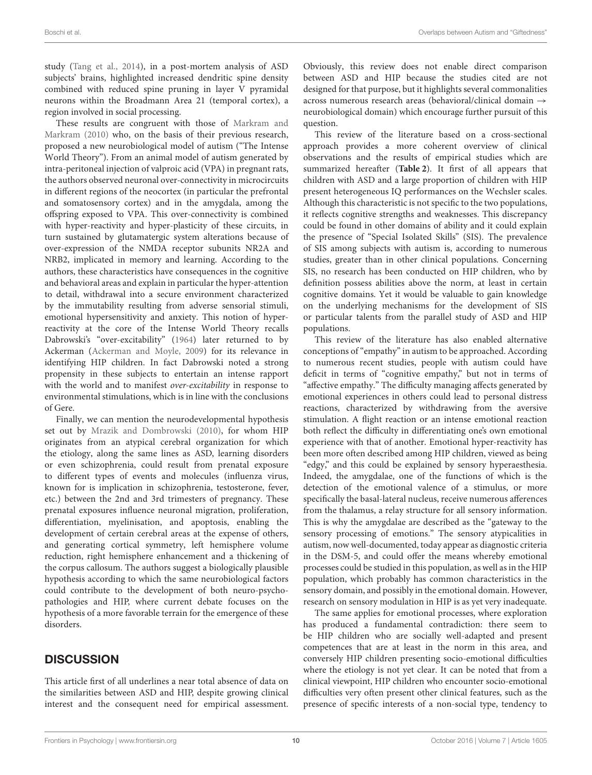study [\(Tang et al., 2014\)](#page-15-31), in a post-mortem analysis of ASD subjects' brains, highlighted increased dendritic spine density combined with reduced spine pruning in layer V pyramidal neurons within the Broadmann Area 21 (temporal cortex), a region involved in social processing.

These results are congruent with those of Markram and Markram [\(2010\)](#page-14-42) who, on the basis of their previous research, proposed a new neurobiological model of autism ("The Intense World Theory"). From an animal model of autism generated by intra-peritoneal injection of valproic acid (VPA) in pregnant rats, the authors observed neuronal over-connectivity in microcircuits in different regions of the neocortex (in particular the prefrontal and somatosensory cortex) and in the amygdala, among the offspring exposed to VPA. This over-connectivity is combined with hyper-reactivity and hyper-plasticity of these circuits, in turn sustained by glutamatergic system alterations because of over-expression of the NMDA receptor subunits NR2A and NRB2, implicated in memory and learning. According to the authors, these characteristics have consequences in the cognitive and behavioral areas and explain in particular the hyper-attention to detail, withdrawal into a secure environment characterized by the immutability resulting from adverse sensorial stimuli, emotional hypersensitivity and anxiety. This notion of hyperreactivity at the core of the Intense World Theory recalls Dabrowski's "over-excitability" [\(1964\)](#page-13-33) later returned to by Ackerman [\(Ackerman and Moyle, 2009\)](#page-13-34) for its relevance in identifying HIP children. In fact Dabrowski noted a strong propensity in these subjects to entertain an intense rapport with the world and to manifest over-excitability in response to environmental stimulations, which is in line with the conclusions of Gere.

Finally, we can mention the neurodevelopmental hypothesis set out by [Mrazik and Dombrowski \(2010\)](#page-14-29), for whom HIP originates from an atypical cerebral organization for which the etiology, along the same lines as ASD, learning disorders or even schizophrenia, could result from prenatal exposure to different types of events and molecules (influenza virus, known for is implication in schizophrenia, testosterone, fever, etc.) between the 2nd and 3rd trimesters of pregnancy. These prenatal exposures influence neuronal migration, proliferation, differentiation, myelinisation, and apoptosis, enabling the development of certain cerebral areas at the expense of others, and generating cortical symmetry, left hemisphere volume reduction, right hemisphere enhancement and a thickening of the corpus callosum. The authors suggest a biologically plausible hypothesis according to which the same neurobiological factors could contribute to the development of both neuro-psychopathologies and HIP, where current debate focuses on the hypothesis of a more favorable terrain for the emergence of these disorders.

## **DISCUSSION**

This article first of all underlines a near total absence of data on the similarities between ASD and HIP, despite growing clinical interest and the consequent need for empirical assessment. Obviously, this review does not enable direct comparison between ASD and HIP because the studies cited are not designed for that purpose, but it highlights several commonalities across numerous research areas (behavioral/clinical domain → neurobiological domain) which encourage further pursuit of this question.

This review of the literature based on a cross-sectional approach provides a more coherent overview of clinical observations and the results of empirical studies which are summarized hereafter (**[Table 2](#page-10-0)**). It first of all appears that children with ASD and a large proportion of children with HIP present heterogeneous IQ performances on the Wechsler scales. Although this characteristic is not specific to the two populations, it reflects cognitive strengths and weaknesses. This discrepancy could be found in other domains of ability and it could explain the presence of "Special Isolated Skills" (SIS). The prevalence of SIS among subjects with autism is, according to numerous studies, greater than in other clinical populations. Concerning SIS, no research has been conducted on HIP children, who by definition possess abilities above the norm, at least in certain cognitive domains. Yet it would be valuable to gain knowledge on the underlying mechanisms for the development of SIS or particular talents from the parallel study of ASD and HIP populations.

This review of the literature has also enabled alternative conceptions of "empathy" in autism to be approached. According to numerous recent studies, people with autism could have deficit in terms of "cognitive empathy," but not in terms of "affective empathy." The difficulty managing affects generated by emotional experiences in others could lead to personal distress reactions, characterized by withdrawing from the aversive stimulation. A flight reaction or an intense emotional reaction both reflect the difficulty in differentiating one's own emotional experience with that of another. Emotional hyper-reactivity has been more often described among HIP children, viewed as being "edgy," and this could be explained by sensory hyperaesthesia. Indeed, the amygdalae, one of the functions of which is the detection of the emotional valence of a stimulus, or more specifically the basal-lateral nucleus, receive numerous afferences from the thalamus, a relay structure for all sensory information. This is why the amygdalae are described as the "gateway to the sensory processing of emotions." The sensory atypicalities in autism, now well-documented, today appear as diagnostic criteria in the DSM-5, and could offer the means whereby emotional processes could be studied in this population, as well as in the HIP population, which probably has common characteristics in the sensory domain, and possibly in the emotional domain. However, research on sensory modulation in HIP is as yet very inadequate.

The same applies for emotional processes, where exploration has produced a fundamental contradiction: there seem to be HIP children who are socially well-adapted and present competences that are at least in the norm in this area, and conversely HIP children presenting socio-emotional difficulties where the etiology is not yet clear. It can be noted that from a clinical viewpoint, HIP children who encounter socio-emotional difficulties very often present other clinical features, such as the presence of specific interests of a non-social type, tendency to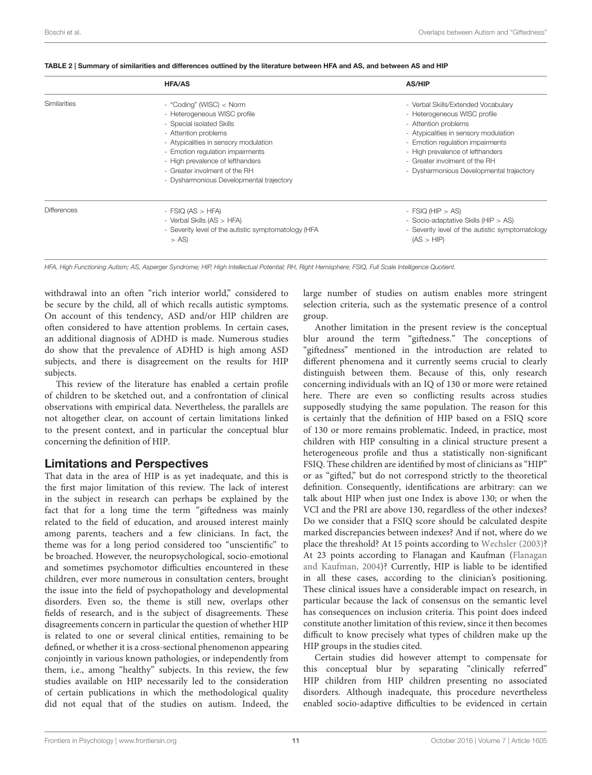|                    | <b>HFA/AS</b>                                                                                                                                                                                                                                                                                               | <b>AS/HIP</b>                                                                                                                                                                                                                                                                             |  |
|--------------------|-------------------------------------------------------------------------------------------------------------------------------------------------------------------------------------------------------------------------------------------------------------------------------------------------------------|-------------------------------------------------------------------------------------------------------------------------------------------------------------------------------------------------------------------------------------------------------------------------------------------|--|
| Similarities       | - "Coding" (WISC) < Norm<br>- Heterogeneous WISC profile<br>- Special isolated Skills<br>- Attention problems<br>- Atypicalities in sensory modulation<br>- Emotion regulation impairments<br>- High prevalence of lefthanders<br>- Greater involment of the RH<br>- Dysharmonious Developmental trajectory | - Verbal Skills/Extended Vocabulary<br>- Heterogeneous WISC profile<br>- Attention problems<br>- Atypicalities in sensory modulation<br>- Emotion regulation impairments<br>- High prevalence of lefthanders<br>- Greater involment of the RH<br>- Dysharmonious Developmental trajectory |  |
| <b>Differences</b> | - FSIQ $(AS > HFA)$<br>- Verbal Skills (AS > HFA)<br>- Severity level of the autistic symptomatology (HFA<br>$> AS$ )                                                                                                                                                                                       | - FSIQ (HIP $>$ AS)<br>- Socio-adaptative Skills (HIP > AS)<br>- Severity level of the autistic symptomatology<br>(AS > HIP)                                                                                                                                                              |  |

<span id="page-10-0"></span>

|  | TABLE 2   Summary of similarities and differences outlined by the literature between HFA and AS, and between AS and HIP |  |
|--|-------------------------------------------------------------------------------------------------------------------------|--|
|  |                                                                                                                         |  |

HFA, High Functioning Autism; AS, Asperger Syndrome; HIP, High Intellectual Potential; RH, Right Hemisphere; FSIQ, Full Scale Intelligence Quotient.

withdrawal into an often "rich interior world," considered to be secure by the child, all of which recalls autistic symptoms. On account of this tendency, ASD and/or HIP children are often considered to have attention problems. In certain cases, an additional diagnosis of ADHD is made. Numerous studies do show that the prevalence of ADHD is high among ASD subjects, and there is disagreement on the results for HIP subjects.

This review of the literature has enabled a certain profile of children to be sketched out, and a confrontation of clinical observations with empirical data. Nevertheless, the parallels are not altogether clear, on account of certain limitations linked to the present context, and in particular the conceptual blur concerning the definition of HIP.

### Limitations and Perspectives

That data in the area of HIP is as yet inadequate, and this is the first major limitation of this review. The lack of interest in the subject in research can perhaps be explained by the fact that for a long time the term "giftedness was mainly related to the field of education, and aroused interest mainly among parents, teachers and a few clinicians. In fact, the theme was for a long period considered too "unscientific" to be broached. However, the neuropsychological, socio-emotional and sometimes psychomotor difficulties encountered in these children, ever more numerous in consultation centers, brought the issue into the field of psychopathology and developmental disorders. Even so, the theme is still new, overlaps other fields of research, and is the subject of disagreements. These disagreements concern in particular the question of whether HIP is related to one or several clinical entities, remaining to be defined, or whether it is a cross-sectional phenomenon appearing conjointly in various known pathologies, or independently from them, i.e., among "healthy" subjects. In this review, the few studies available on HIP necessarily led to the consideration of certain publications in which the methodological quality did not equal that of the studies on autism. Indeed, the large number of studies on autism enables more stringent selection criteria, such as the systematic presence of a control group.

Another limitation in the present review is the conceptual blur around the term "giftedness." The conceptions of "giftedness" mentioned in the introduction are related to different phenomena and it currently seems crucial to clearly distinguish between them. Because of this, only research concerning individuals with an IQ of 130 or more were retained here. There are even so conflicting results across studies supposedly studying the same population. The reason for this is certainly that the definition of HIP based on a FSIQ score of 130 or more remains problematic. Indeed, in practice, most children with HIP consulting in a clinical structure present a heterogeneous profile and thus a statistically non-significant FSIQ. These children are identified by most of clinicians as "HIP" or as "gifted," but do not correspond strictly to the theoretical definition. Consequently, identifications are arbitrary: can we talk about HIP when just one Index is above 130; or when the VCI and the PRI are above 130, regardless of the other indexes? Do we consider that a FSIQ score should be calculated despite marked discrepancies between indexes? And if not, where do we place the threshold? At 15 points according to [Wechsler \(2003\)](#page-15-1)? At 23 points according to Flanagan and Kaufman (Flanagan and Kaufman, [2004\)](#page-13-6)? Currently, HIP is liable to be identified in all these cases, according to the clinician's positioning. These clinical issues have a considerable impact on research, in particular because the lack of consensus on the semantic level has consequences on inclusion criteria. This point does indeed constitute another limitation of this review, since it then becomes difficult to know precisely what types of children make up the HIP groups in the studies cited.

Certain studies did however attempt to compensate for this conceptual blur by separating "clinically referred" HIP children from HIP children presenting no associated disorders. Although inadequate, this procedure nevertheless enabled socio-adaptive difficulties to be evidenced in certain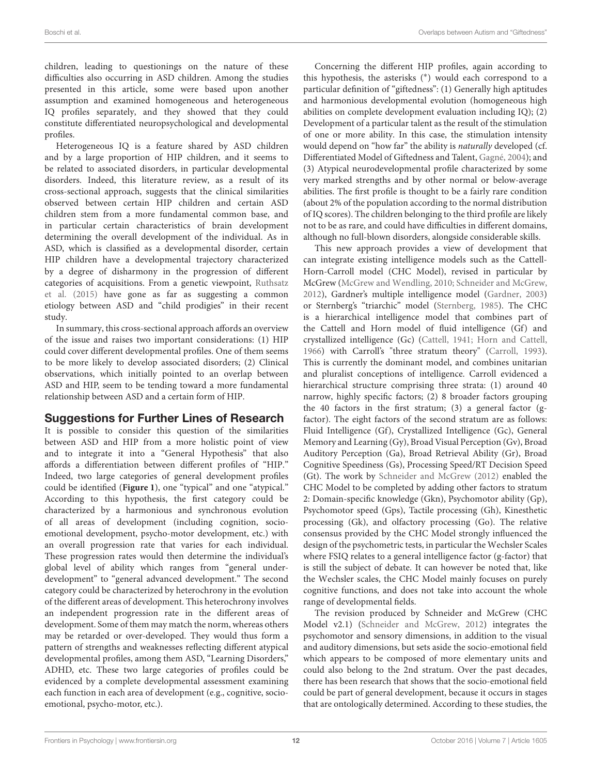children, leading to questionings on the nature of these difficulties also occurring in ASD children. Among the studies presented in this article, some were based upon another assumption and examined homogeneous and heterogeneous IQ profiles separately, and they showed that they could constitute differentiated neuropsychological and developmental profiles.

Heterogeneous IQ is a feature shared by ASD children and by a large proportion of HIP children, and it seems to be related to associated disorders, in particular developmental disorders. Indeed, this literature review, as a result of its cross-sectional approach, suggests that the clinical similarities observed between certain HIP children and certain ASD children stem from a more fundamental common base, and in particular certain characteristics of brain development determining the overall development of the individual. As in ASD, which is classified as a developmental disorder, certain HIP children have a developmental trajectory characterized by a degree of disharmony in the progression of different categories of acquisitions. From a genetic viewpoint, Ruthsatz et al. [\(2015\)](#page-15-6) have gone as far as suggesting a common etiology between ASD and "child prodigies" in their recent study.

In summary, this cross-sectional approach affords an overview of the issue and raises two important considerations: (1) HIP could cover different developmental profiles. One of them seems to be more likely to develop associated disorders; (2) Clinical observations, which initially pointed to an overlap between ASD and HIP, seem to be tending toward a more fundamental relationship between ASD and a certain form of HIP.

### Suggestions for Further Lines of Research

It is possible to consider this question of the similarities between ASD and HIP from a more holistic point of view and to integrate it into a "General Hypothesis" that also affords a differentiation between different profiles of "HIP." Indeed, two large categories of general development profiles could be identified (**[Figure 1](#page-8-0)**), one "typical" and one "atypical." According to this hypothesis, the first category could be characterized by a harmonious and synchronous evolution of all areas of development (including cognition, socioemotional development, psycho-motor development, etc.) with an overall progression rate that varies for each individual. These progression rates would then determine the individual's global level of ability which ranges from "general underdevelopment" to "general advanced development." The second category could be characterized by heterochrony in the evolution of the different areas of development. This heterochrony involves an independent progression rate in the different areas of development. Some of them may match the norm, whereas others may be retarded or over-developed. They would thus form a pattern of strengths and weaknesses reflecting different atypical developmental profiles, among them ASD, "Learning Disorders," ADHD, etc. These two large categories of profiles could be evidenced by a complete developmental assessment examining each function in each area of development (e.g., cognitive, socioemotional, psycho-motor, etc.).

Concerning the different HIP profiles, again according to this hypothesis, the asterisks (<sup>∗</sup> ) would each correspond to a particular definition of "giftedness": (1) Generally high aptitudes and harmonious developmental evolution (homogeneous high abilities on complete development evaluation including IQ); (2) Development of a particular talent as the result of the stimulation of one or more ability. In this case, the stimulation intensity would depend on "how far" the ability is naturally developed (cf. Differentiated Model of Giftedness and Talent, [Gagné, 2004\)](#page-13-35); and (3) Atypical neurodevelopmental profile characterized by some very marked strengths and by other normal or below-average abilities. The first profile is thought to be a fairly rare condition (about 2% of the population according to the normal distribution of IQ scores). The children belonging to the third profile are likely not to be as rare, and could have difficulties in different domains, although no full-blown disorders, alongside considerable skills.

This new approach provides a view of development that can integrate existing intelligence models such as the Cattell-Horn-Carroll model (CHC Model), revised in particular by McGrew [\(McGrew and Wendling, 2010;](#page-14-43) [Schneider and McGrew,](#page-15-32) [2012\)](#page-15-32), Gardner's multiple intelligence model [\(Gardner, 2003\)](#page-13-36) or Sternberg's "triarchic" model [\(Sternberg, 1985\)](#page-15-33). The CHC is a hierarchical intelligence model that combines part of the Cattell and Horn model of fluid intelligence (Gf) and crystallized intelligence (Gc) [\(Cattell, 1941;](#page-13-37) [Horn and Cattell,](#page-14-44) [1966\)](#page-14-44) with Carroll's "three stratum theory" [\(Carroll, 1993\)](#page-13-38). This is currently the dominant model, and combines unitarian and pluralist conceptions of intelligence. Carroll evidenced a hierarchical structure comprising three strata: (1) around 40 narrow, highly specific factors; (2) 8 broader factors grouping the 40 factors in the first stratum; (3) a general factor (gfactor). The eight factors of the second stratum are as follows: Fluid Intelligence (Gf), Crystallized Intelligence (Gc), General Memory and Learning (Gy), Broad Visual Perception (Gv), Broad Auditory Perception (Ga), Broad Retrieval Ability (Gr), Broad Cognitive Speediness (Gs), Processing Speed/RT Decision Speed (Gt). The work by [Schneider and McGrew \(2012\)](#page-15-32) enabled the CHC Model to be completed by adding other factors to stratum 2: Domain-specific knowledge (Gkn), Psychomotor ability (Gp), Psychomotor speed (Gps), Tactile processing (Gh), Kinesthetic processing (Gk), and olfactory processing (Go). The relative consensus provided by the CHC Model strongly influenced the design of the psychometric tests, in particular the Wechsler Scales where FSIQ relates to a general intelligence factor (g-factor) that is still the subject of debate. It can however be noted that, like the Wechsler scales, the CHC Model mainly focuses on purely cognitive functions, and does not take into account the whole range of developmental fields.

The revision produced by Schneider and McGrew (CHC Model v2.1) [\(Schneider and McGrew, 2012\)](#page-15-32) integrates the psychomotor and sensory dimensions, in addition to the visual and auditory dimensions, but sets aside the socio-emotional field which appears to be composed of more elementary units and could also belong to the 2nd stratum. Over the past decades, there has been research that shows that the socio-emotional field could be part of general development, because it occurs in stages that are ontologically determined. According to these studies, the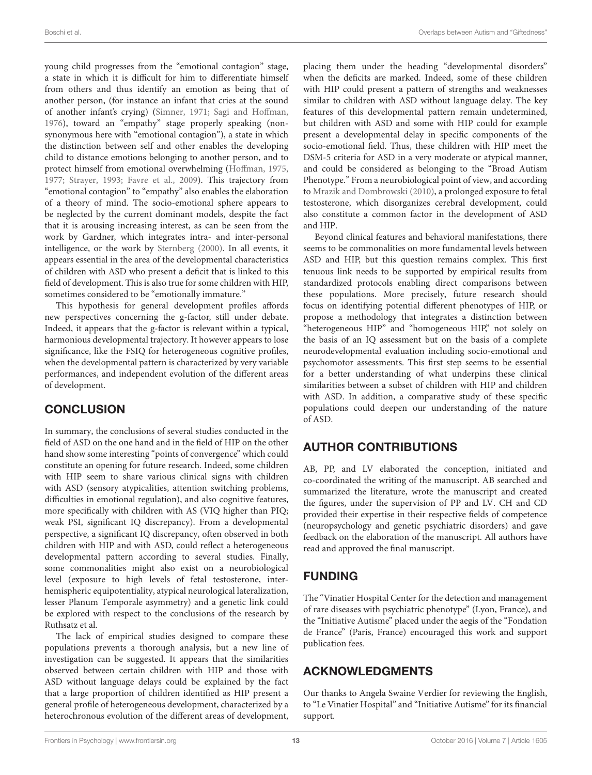young child progresses from the "emotional contagion" stage, a state in which it is difficult for him to differentiate himself from others and thus identify an emotion as being that of another person, (for instance an infant that cries at the sound of another infant's crying) [\(Simner, 1971;](#page-15-34) [Sagi and Hoffman,](#page-15-35) [1976\)](#page-15-35), toward an "empathy" stage properly speaking (nonsynonymous here with "emotional contagion"), a state in which the distinction between self and other enables the developing child to distance emotions belonging to another person, and to protect himself from emotional overwhelming [\(Hoffman, 1975,](#page-13-39) [1977;](#page-13-40) [Strayer, 1993;](#page-15-36) [Favre et al., 2009\)](#page-13-41). This trajectory from "emotional contagion" to "empathy" also enables the elaboration of a theory of mind. The socio-emotional sphere appears to be neglected by the current dominant models, despite the fact that it is arousing increasing interest, as can be seen from the work by Gardner, which integrates intra- and inter-personal intelligence, or the work by [Sternberg \(2000\)](#page-15-37). In all events, it appears essential in the area of the developmental characteristics of children with ASD who present a deficit that is linked to this field of development. This is also true for some children with HIP, sometimes considered to be "emotionally immature."

This hypothesis for general development profiles affords new perspectives concerning the g-factor, still under debate. Indeed, it appears that the g-factor is relevant within a typical, harmonious developmental trajectory. It however appears to lose significance, like the FSIQ for heterogeneous cognitive profiles, when the developmental pattern is characterized by very variable performances, and independent evolution of the different areas of development.

# **CONCLUSION**

In summary, the conclusions of several studies conducted in the field of ASD on the one hand and in the field of HIP on the other hand show some interesting "points of convergence" which could constitute an opening for future research. Indeed, some children with HIP seem to share various clinical signs with children with ASD (sensory atypicalities, attention switching problems, difficulties in emotional regulation), and also cognitive features, more specifically with children with AS (VIQ higher than PIQ; weak PSI, significant IQ discrepancy). From a developmental perspective, a significant IQ discrepancy, often observed in both children with HIP and with ASD, could reflect a heterogeneous developmental pattern according to several studies. Finally, some commonalities might also exist on a neurobiological level (exposure to high levels of fetal testosterone, interhemispheric equipotentiality, atypical neurological lateralization, lesser Planum Temporale asymmetry) and a genetic link could be explored with respect to the conclusions of the research by Ruthsatz et al.

The lack of empirical studies designed to compare these populations prevents a thorough analysis, but a new line of investigation can be suggested. It appears that the similarities observed between certain children with HIP and those with ASD without language delays could be explained by the fact that a large proportion of children identified as HIP present a general profile of heterogeneous development, characterized by a heterochronous evolution of the different areas of development, placing them under the heading "developmental disorders" when the deficits are marked. Indeed, some of these children with HIP could present a pattern of strengths and weaknesses similar to children with ASD without language delay. The key features of this developmental pattern remain undetermined, but children with ASD and some with HIP could for example present a developmental delay in specific components of the socio-emotional field. Thus, these children with HIP meet the DSM-5 criteria for ASD in a very moderate or atypical manner, and could be considered as belonging to the "Broad Autism Phenotype." From a neurobiological point of view, and according to [Mrazik and Dombrowski \(2010\)](#page-14-29), a prolonged exposure to fetal testosterone, which disorganizes cerebral development, could also constitute a common factor in the development of ASD and HIP.

Beyond clinical features and behavioral manifestations, there seems to be commonalities on more fundamental levels between ASD and HIP, but this question remains complex. This first tenuous link needs to be supported by empirical results from standardized protocols enabling direct comparisons between these populations. More precisely, future research should focus on identifying potential different phenotypes of HIP, or propose a methodology that integrates a distinction between "heterogeneous HIP" and "homogeneous HIP," not solely on the basis of an IQ assessment but on the basis of a complete neurodevelopmental evaluation including socio-emotional and psychomotor assessments. This first step seems to be essential for a better understanding of what underpins these clinical similarities between a subset of children with HIP and children with ASD. In addition, a comparative study of these specific populations could deepen our understanding of the nature of ASD.

# AUTHOR CONTRIBUTIONS

AB, PP, and LV elaborated the conception, initiated and co-coordinated the writing of the manuscript. AB searched and summarized the literature, wrote the manuscript and created the figures, under the supervision of PP and LV. CH and CD provided their expertise in their respective fields of competence (neuropsychology and genetic psychiatric disorders) and gave feedback on the elaboration of the manuscript. All authors have read and approved the final manuscript.

## FUNDING

The "Vinatier Hospital Center for the detection and management of rare diseases with psychiatric phenotype" (Lyon, France), and the "Initiative Autisme" placed under the aegis of the "Fondation de France" (Paris, France) encouraged this work and support publication fees.

## ACKNOWLEDGMENTS

Our thanks to Angela Swaine Verdier for reviewing the English, to "Le Vinatier Hospital" and "Initiative Autisme" for its financial support.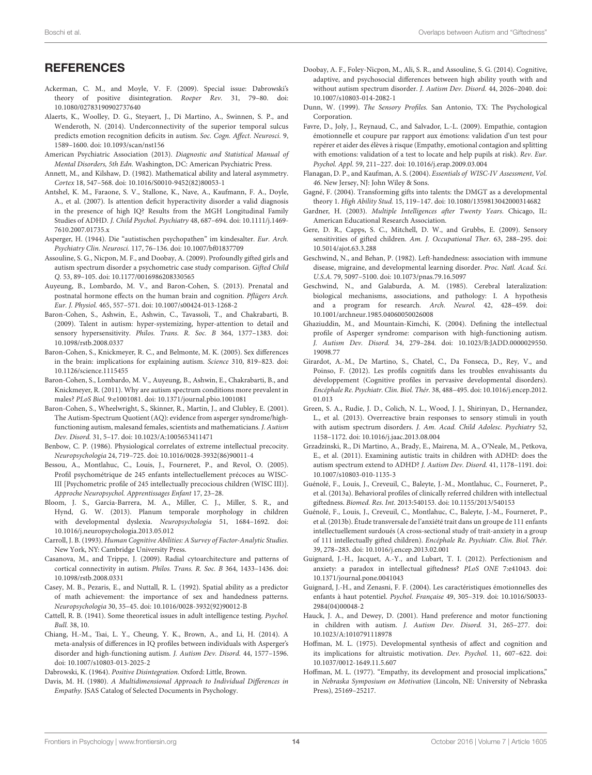<span id="page-13-32"></span>New York, NY: Cambridge University Press. Casanova, M., and Trippe, J. (2009). Radial cytoarchitecture and patterns of cortical connectivity in autism. Philos. Trans. R. Soc. B 364, 1433–1436. doi: 10.1098/rstb.2008.0331

<span id="page-13-38"></span>Carroll, J. B. (1993). Human Cognitive Abilities: A Survey of Factor-Analytic Studies.

<span id="page-13-25"></span>Casey, M. B., Pezaris, E., and Nuttall, R. L. (1992). Spatial ability as a predictor of math achievement: the importance of sex and handedness patterns. Neuropsychologia 30, 35–45. doi: 10.1016/0028-3932(92)90012-B

- <span id="page-13-37"></span>Cattell, R. B. (1941). Some theoretical issues in adult intelligence testing. Psychol. Bull. 38, 10.
- <span id="page-13-9"></span>Chiang, H.-M., Tsai, L. Y., Cheung, Y. K., Brown, A., and Li, H. (2014). A meta-analysis of differences in IQ profiles between individuals with Asperger's disorder and high-functioning autism. J. Autism Dev. Disord. 44, 1577–1596. doi: 10.1007/s10803-013-2025-2

<span id="page-13-33"></span>Dabrowski, K. (1964). Positive Disintegration. Oxford: Little, Brown.

<span id="page-13-17"></span>Davis, M. H. (1980). A Multidimensional Approach to Individual Differences in Empathy. JSAS Catalog of Selected Documents in Psychology.

- <span id="page-13-2"></span>Doobay, A. F., Foley-Nicpon, M., Ali, S. R., and Assouline, S. G. (2014). Cognitive, adaptive, and psychosocial differences between high ability youth with and without autism spectrum disorder. J. Autism Dev. Disord. 44, 2026–2040. doi: 10.1007/s10803-014-2082-1
- <span id="page-13-14"></span>Dunn, W. (1999). The Sensory Profiles. San Antonio, TX: The Psychological Corporation.
- <span id="page-13-41"></span>Favre, D., Joly, J., Reynaud, C., and Salvador, L.-L. (2009). Empathie, contagion émotionnelle et coupure par rapport aux émotions: validation d'un test pour repérer et aider des élèves à risque (Empathy, emotional contagion and splitting with emotions: validation of a test to locate and help pupils at risk). Rev. Eur. Psychol. Appl. 59, 211–227. doi: 10.1016/j.erap.2009.03.004
- <span id="page-13-6"></span>Flanagan, D. P., and Kaufman, A. S. (2004). Essentials of WISC-IV Assessment, Vol. 46. New Jersey, NJ: John Wiley & Sons.
- <span id="page-13-35"></span>Gagné, F. (2004). Transforming gifts into talents: the DMGT as a developmental theory 1. High Ability Stud. 15, 119–147. doi: 10.1080/1359813042000314682
- <span id="page-13-36"></span>Gardner, H. (2003). Multiple Intelligences after Twenty Years. Chicago, IL: American Educational Research Association.
- <span id="page-13-16"></span>Gere, D. R., Capps, S. C., Mitchell, D. W., and Grubbs, E. (2009). Sensory sensitivities of gifted children. Am. J. Occupational Ther. 63, 288–295. doi: 10.5014/ajot.63.3.288
- <span id="page-13-21"></span>Geschwind, N., and Behan, P. (1982). Left-handedness: association with immune disease, migraine, and developmental learning disorder. Proc. Natl. Acad. Sci. U.S.A. 79, 5097–5100. doi: 10.1073/pnas.79.16.5097
- <span id="page-13-22"></span>Geschwind, N., and Galaburda, A. M. (1985). Cerebral lateralization: biological mechanisms, associations, and pathology: I. A hypothesis and a program for research. Arch. Neurol. 42, 428–459. doi: 10.1001/archneur.1985.04060050026008
- <span id="page-13-7"></span>Ghaziuddin, M., and Mountain-Kimchi, K. (2004). Defining the intellectual profile of Asperger syndrome: comparison with high-functioning autism. J. Autism Dev. Disord. 34, 279–284. doi: 10.1023/B:JADD.0000029550. 19098.77
- <span id="page-13-8"></span>Girardot, A.-M., De Martino, S., Chatel, C., Da Fonseca, D., Rey, V., and Poinso, F. (2012). Les profils cognitifs dans les troubles envahissants du développement (Cognitive profiles in pervasive developmental disorders). Encéphale Re. Psychiatr. Clin. Biol. Thér. 38, 488–495. doi: 10.1016/j.encep.2012. 01.013
- <span id="page-13-15"></span>Green, S. A., Rudie, J. D., Colich, N. L., Wood, J. J., Shirinyan, D., Hernandez, L., et al. (2013). Overreactive brain responses to sensory stimuli in youth with autism spectrum disorders. J. Am. Acad. Child Adolesc. Psychiatry 52, 1158–1172. doi: 10.1016/j.jaac.2013.08.004
- <span id="page-13-13"></span>Grzadzinski, R., Di Martino, A., Brady, E., Mairena, M. A., O'Neale, M., Petkova, E., et al. (2011). Examining autistic traits in children with ADHD: does the autism spectrum extend to ADHD? J. Autism Dev. Disord. 41, 1178–1191. doi: 10.1007/s10803-010-1135-3
- <span id="page-13-1"></span>Guénolé, F., Louis, J., Creveuil, C., Baleyte, J.-M., Montlahuc, C., Fourneret, P., et al. (2013a). Behavioral profiles of clinically referred children with intellectual giftedness. Biomed. Res. Int. 2013:540153. doi: 10.1155/2013/540153
- <span id="page-13-20"></span>Guénolé, F., Louis, J., Creveuil, C., Montlahuc, C., Baleyte, J.-M., Fourneret, P., et al. (2013b). Étude transversale de l'anxiété trait dans un groupe de 111 enfants intellectuellement surdoués (A cross-sectional study of trait-anxiety in a group of 111 intellectually gifted children). Encéphale Re. Psychiatr. Clin. Biol. Thér. 39, 278–283. doi: 10.1016/j.encep.2013.02.001
- <span id="page-13-19"></span>Guignard, J.-H., Jacquet, A.-Y., and Lubart, T. I. (2012). Perfectionism and anxiety: a paradox in intellectual giftedness? PLoS ONE 7:e41043. doi: 10.1371/journal.pone.0041043
- <span id="page-13-18"></span>Guignard, J.-H., and Zenasni, F. F. (2004). Les caractéristiques émotionnelles des enfants à haut potentiel. Psychol. Française 49, 305–319. doi: 10.1016/S0033- 2984(04)00048-2
- <span id="page-13-26"></span>Hauck, J. A., and Dewey, D. (2001). Hand preference and motor functioning in children with autism. J. Autism Dev. Disord. 31, 265–277. doi: 10.1023/A:1010791118978
- <span id="page-13-39"></span>Hoffman, M. L. (1975). Developmental synthesis of affect and cognition and its implications for altruistic motivation. Dev. Psychol. 11, 607–622. doi: 10.1037/0012-1649.11.5.607
- <span id="page-13-40"></span>Hoffman, M. L. (1977). "Empathy, its development and prosocial implications," in Nebraska Symposium on Motivation (Lincoln, NE: University of Nebraska Press), 25169–25217.

**REFERENCES** 

7610.2007.01735.x

10.1098/rstb.2008.0337

10.1126/science.1115455

10.1080/02783190902737640

1589–1600. doi: 10.1093/scan/nst156

<span id="page-13-34"></span>Ackerman, C. M., and Moyle, V. F. (2009). Special issue: Dabrowski's theory of positive disintegration. Roeper Rev. 31, 79–80. doi:

<span id="page-13-31"></span>Alaerts, K., Woolley, D. G., Steyaert, J., Di Martino, A., Swinnen, S. P., and Wenderoth, N. (2014). Underconnectivity of the superior temporal sulcus predicts emotion recognition deficits in autism. Soc. Cogn. Affect. Neurosci. 9,

<span id="page-13-0"></span>American Psychiatric Association (2013). Diagnostic and Statistical Manual of Mental Disorders, 5th Edn. Washington, DC: American Psychiatric Press. Annett, M., and Kilshaw, D. (1982). Mathematical ability and lateral asymmetry.

<span id="page-13-12"></span>Antshel, K. M., Faraone, S. V., Stallone, K., Nave, A., Kaufmann, F. A., Doyle, A., et al. (2007). Is attention deficit hyperactivity disorder a valid diagnosis in the presence of high IQ? Results from the MGH Longitudinal Family Studies of ADHD. J. Child Psychol. Psychiatry 48, 687–694. doi: 10.1111/j.1469-

<span id="page-13-4"></span>Asperger, H. (1944). Die "autistischen psychopathen" im kindesalter. Eur. Arch.

<span id="page-13-3"></span>Assouline, S. G., Nicpon, M. F., and Doobay, A. (2009). Profoundly gifted girls and autism spectrum disorder a psychometric case study comparison. Gifted Child

<span id="page-13-30"></span>Auyeung, B., Lombardo, M. V., and Baron-Cohen, S. (2013). Prenatal and postnatal hormone effects on the human brain and cognition. Pflügers Arch.

<span id="page-13-10"></span>Baron-Cohen, S., Ashwin, E., Ashwin, C., Tavassoli, T., and Chakrabarti, B. (2009). Talent in autism: hyper-systemizing, hyper-attention to detail and sensory hypersensitivity. Philos. Trans. R. Soc. B 364, 1377–1383. doi:

<span id="page-13-28"></span>Baron-Cohen, S., Knickmeyer, R. C., and Belmonte, M. K. (2005). Sex differences in the brain: implications for explaining autism. Science 310, 819–823. doi:

<span id="page-13-29"></span>Baron-Cohen, S., Lombardo, M. V., Auyeung, B., Ashwin, E., Chakrabarti, B., and Knickmeyer, R. (2011). Why are autism spectrum conditions more prevalent in

<span id="page-13-23"></span><span id="page-13-5"></span>Benbow, C. P. (1986). Physiological correlates of extreme intellectual precocity. Neuropsychologia 24, 719–725. doi: 10.1016/0028-3932(86)90011-4 Bessou, A., Montlahuc, C., Louis, J., Fourneret, P., and Revol, O. (2005). Profil psychométrique de 245 enfants intellectuellement précoces au WISC-III [Psychometric profile of 245 intellectually precocious children (WISC III)].

<span id="page-13-27"></span>Bloom, J. S., Garcia-Barrera, M. A., Miller, C. J., Miller, S. R., and Hynd, G. W. (2013). Planum temporale morphology in children with developmental dyslexia. Neuropsychologia 51, 1684–1692. doi:

<span id="page-13-11"></span>males? PLoS Biol. 9:e1001081. doi: 10.1371/journal.pbio.1001081 Baron-Cohen, S., Wheelwright, S., Skinner, R., Martin, J., and Clubley, E. (2001). The Autism-Spectrum Quotient (AQ): evidence from asperger syndrome/highfunctioning autism, malesand females, scientists and mathematicians. J. Autism

Dev. Disord. 31, 5–17. doi: 10.1023/A:1005653411471

Approche Neuropsychol. Apprentissages Enfant 17, 23–28.

10.1016/j.neuropsychologia.2013.05.012

Psychiatry Clin. Neurosci. 117, 76–136. doi: 10.1007/bf01837709

Eur. J. Physiol. 465, 557–571. doi: 10.1007/s00424-013-1268-2

Q. 53, 89–105. doi: 10.1177/0016986208330565

<span id="page-13-24"></span>Cortex 18, 547–568. doi: 10.1016/S0010-9452(82)80053-1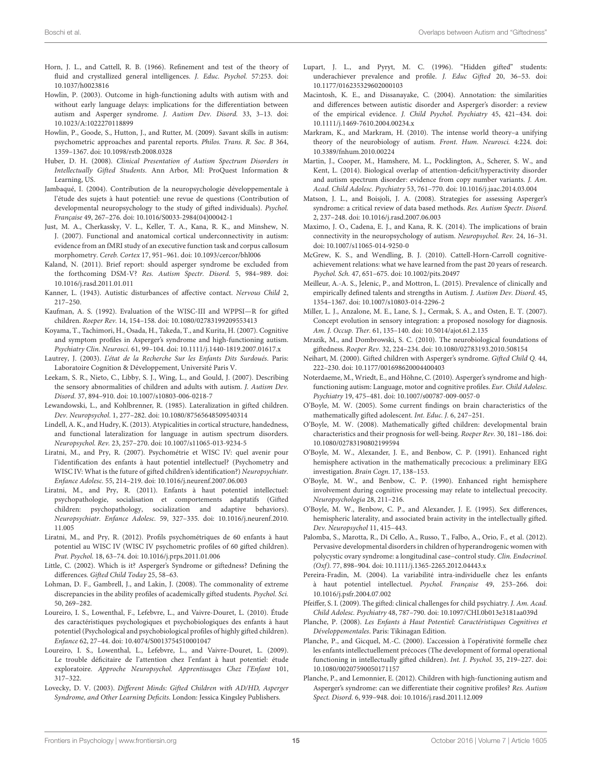- <span id="page-14-44"></span>Horn, J. L., and Cattell, R. B. (1966). Refinement and test of the theory of fluid and crystallized general intelligences. J. Educ. Psychol. 57:253. doi: 10.1037/h0023816
- <span id="page-14-7"></span>Howlin, P. (2003). Outcome in high-functioning adults with autism with and without early language delays: implications for the differentiation between autism and Asperger syndrome. J. Autism Dev. Disord. 33, 3–13. doi: 10.1023/A:1022270118899
- <span id="page-14-21"></span>Howlin, P., Goode, S., Hutton, J., and Rutter, M. (2009). Savant skills in autism: psychometric approaches and parental reports. Philos. Trans. R. Soc. B 364, 1359–1367. doi: 10.1098/rstb.2008.0328
- <span id="page-14-15"></span>Huber, D. H. (2008). Clinical Presentation of Autism Spectrum Disorders in Intellectually Gifted Students. Ann Arbor, MI: ProQuest Information & Learning, US.
- <span id="page-14-16"></span>Jambaqué, I. (2004). Contribution de la neuropsychologie développementale à l'étude des sujets à haut potentiel: une revue de questions (Contribution of developmental neuropsychology to the study of gifted individuals). Psychol. Française 49, 267–276. doi: 10.1016/S0033-2984(04)00042-1
- <span id="page-14-40"></span>Just, M. A., Cherkassky, V. L., Keller, T. A., Kana, R. K., and Minshew, N. J. (2007). Functional and anatomical cortical underconnectivity in autism: evidence from an fMRI study of an executive function task and corpus callosum morphometry. Cereb. Cortex 17, 951–961. doi: 10.1093/cercor/bhl006
- <span id="page-14-10"></span>Kaland, N. (2011). Brief report: should asperger syndrome be excluded from the forthcoming DSM-V? Res. Autism Spectr. Disord. 5, 984–989. doi: 10.1016/j.rasd.2011.01.011
- <span id="page-14-6"></span>Kanner, L. (1943). Autistic disturbances of affective contact. Nervous Child 2, 217–250.
- <span id="page-14-11"></span>Kaufman, A. S. (1992). Evaluation of the WISC-III and WPPSI—R for gifted children. Roeper Rev. 14, 154–158. doi: 10.1080/02783199209553413
- <span id="page-14-18"></span>Koyama, T., Tachimori, H., Osada, H., Takeda, T., and Kurita, H. (2007). Cognitive and symptom profiles in Asperger's syndrome and high-functioning autism. Psychiatry Clin. Neurosci. 61, 99–104. doi: 10.1111/j.1440-1819.2007.01617.x
- <span id="page-14-27"></span>Lautrey, J. (2003). L'état de la Recherche Sur les Enfants Dits Surdoués. Paris: Laboratoire Cognition & Développement, Université Paris V.
- <span id="page-14-25"></span>Leekam, S. R., Nieto, C., Libby, S. J., Wing, L., and Gould, J. (2007). Describing the sensory abnormalities of children and adults with autism. J. Autism Dev. Disord. 37, 894–910. doi: 10.1007/s10803-006-0218-7
- <span id="page-14-32"></span>Lewandowski, L., and Kohlbrenner, R. (1985). Lateralization in gifted children. Dev. Neuropsychol. 1, 277–282. doi: 10.1080/87565648509540314
- <span id="page-14-33"></span>Lindell, A. K., and Hudry, K. (2013). Atypicalities in cortical structure, handedness, and functional lateralization for language in autism spectrum disorders. Neuropsychol. Rev. 23, 257–270. doi: 10.1007/s11065-013-9234-5
- <span id="page-14-12"></span>Liratni, M., and Pry, R. (2007). Psychométrie et WISC IV: quel avenir pour l'identification des enfants à haut potentiel intellectuel? (Psychometry and WISC IV: What is the future of gifted children's identification?) Neuropsychiatr. Enfance Adolesc. 55, 214–219. doi: 10.1016/j.neurenf.2007.06.003
- <span id="page-14-3"></span>Liratni, M., and Pry, R. (2011). Enfants à haut potentiel intellectuel: psychopathologie, socialisation et comportements adaptatifs (Gifted children: psychopathology, socialization and adaptive behaviors). Neuropsychiatr. Enfance Adolesc. 59, 327–335. doi: 10.1016/j.neurenf.2010. 11.005
- <span id="page-14-13"></span>Liratni, M., and Pry, R. (2012). Profils psychométriques de 60 enfants à haut potentiel au WISC IV (WISC IV psychometric profiles of 60 gifted children). Prat. Psychol. 18, 63–74. doi: 10.1016/j.prps.2011.01.006
- <span id="page-14-4"></span>Little, C. (2002). Which is it? Asperger's Syndrome or giftedness? Defining the differences. Gifted Child Today 25, 58–63.
- <span id="page-14-14"></span>Lohman, D. F., Gambrell, J., and Lakin, J. (2008). The commonality of extreme discrepancies in the ability profiles of academically gifted students. Psychol. Sci. 50, 269–282.
- <span id="page-14-28"></span>Loureiro, I. S., Lowenthal, F., Lefebvre, L., and Vaivre-Douret, L. (2010). Étude des caractéristiques psychologiques et psychobiologiques des enfants à haut potentiel (Psychological and psychobiological profiles of highly gifted children). Enfance 62, 27–44. doi: 10.4074/S0013754510001047
- <span id="page-14-23"></span>Loureiro, I. S., Lowenthal, L., Lefebvre, L., and Vaivre-Douret, L. (2009). Le trouble déficitaire de l'attention chez l'enfant à haut potentiel: étude exploratoire. Approche Neuropsychol. Apprentissages Chez l'Enfant 101, 317–322.
- <span id="page-14-5"></span>Lovecky, D. V. (2003). Different Minds: Gifted Children with AD/HD, Asperger Syndrome, and Other Learning Deficits. London: Jessica Kingsley Publishers.
- <span id="page-14-1"></span>Lupart, J. L., and Pyryt, M. C. (1996). "Hidden gifted" students: underachiever prevalence and profile. J. Educ Gifted 20, 36–53. doi: 10.1177/016235329602000103
- <span id="page-14-8"></span>Macintosh, K. E., and Dissanayake, C. (2004). Annotation: the similarities and differences between autistic disorder and Asperger's disorder: a review of the empirical evidence. J. Child Psychol. Psychiatry 45, 421–434. doi: 10.1111/j.1469-7610.2004.00234.x
- <span id="page-14-42"></span>Markram, K., and Markram, H. (2010). The intense world theory–a unifying theory of the neurobiology of autism. Front. Hum. Neurosci. 4:224. doi: 10.3389/fnhum.2010.00224
- <span id="page-14-24"></span>Martin, J., Cooper, M., Hamshere, M. L., Pocklington, A., Scherer, S. W., and Kent, L. (2014). Biological overlap of attention-deficit/hyperactivity disorder and autism spectrum disorder: evidence from copy number variants. J. Am. Acad. Child Adolesc. Psychiatry 53, 761–770. doi: 10.1016/j.jaac.2014.03.004
- <span id="page-14-9"></span>Matson, J. L., and Boisjoli, J. A. (2008). Strategies for assessing Asperger's syndrome: a critical review of data based methods. Res. Autism Spectr. Disord. 2, 237–248. doi: 10.1016/j.rasd.2007.06.003
- <span id="page-14-41"></span>Maximo, J. O., Cadena, E. J., and Kana, R. K. (2014). The implications of brain connectivity in the neuropsychology of autism. Neuropsychol. Rev. 24, 16–31. doi: 10.1007/s11065-014-9250-0
- <span id="page-14-43"></span>McGrew, K. S., and Wendling, B. J. (2010). Cattell-Horn-Carroll cognitiveachievement relations: what we have learned from the past 20 years of research. Psychol. Sch. 47, 651–675. doi: 10.1002/pits.20497
- <span id="page-14-22"></span>Meilleur, A.-A. S., Jelenic, P., and Mottron, L. (2015). Prevalence of clinically and empirically defined talents and strengths in Autism. J. Autism Dev. Disord. 45, 1354–1367. doi: 10.1007/s10803-014-2296-2
- <span id="page-14-26"></span>Miller, L. J., Anzalone, M. E., Lane, S. J., Cermak, S. A., and Osten, E. T. (2007). Concept evolution in sensory integration: a proposed nosology for diagnosis. Am. J. Occup. Ther. 61, 135–140. doi: 10.5014/ajot.61.2.135
- <span id="page-14-29"></span>Mrazik, M., and Dombrowski, S. C. (2010). The neurobiological foundations of giftedness. Roeper Rev. 32, 224–234. doi: 10.1080/02783193.2010.508154
- <span id="page-14-2"></span>Neihart, M. (2000). Gifted children with Asperger's syndrome. Gifted Child Q. 44, 222–230. doi: 10.1177/001698620004400403
- <span id="page-14-19"></span>Noterdaeme, M., Wriedt, E., and Höhne, C. (2010). Asperger's syndrome and highfunctioning autism: Language, motor and cognitive profiles. Eur. Child Adolesc. Psychiatry 19, 475–481. doi: 10.1007/s00787-009-0057-0
- <span id="page-14-37"></span>O'Boyle, M. W. (2005). Some current findings on brain characteristics of the mathematically gifted adolescent. Int. Educ. J. 6, 247–251.
- <span id="page-14-38"></span>O'Boyle, M. W. (2008). Mathematically gifted children: developmental brain characteristics and their prognosis for well-being. Roeper Rev. 30, 181–186. doi: 10.1080/02783190802199594
- <span id="page-14-35"></span>O'Boyle, M. W., Alexander, J. E., and Benbow, C. P. (1991). Enhanced right hemisphere activation in the mathematically precocious: a preliminary EEG investigation. Brain Cogn. 17, 138–153.
- <span id="page-14-34"></span>O'Boyle, M. W., and Benbow, C. P. (1990). Enhanced right hemisphere involvement during cognitive processing may relate to intellectual precocity. Neuropsychologia 28, 211–216.
- <span id="page-14-36"></span>O'Boyle, M. W., Benbow, C. P., and Alexander, J. E. (1995). Sex differences, hemispheric laterality, and associated brain activity in the intellectually gifted. Dev. Neuropsychol 11, 415–443.
- <span id="page-14-39"></span>Palomba, S., Marotta, R., Di Cello, A., Russo, T., Falbo, A., Orio, F., et al. (2012). Pervasive developmental disorders in children of hyperandrogenic women with polycystic ovary syndrome: a longitudinal case–control study. Clin. Endocrinol. (Oxf). 77, 898–904. doi: 10.1111/j.1365-2265.2012.04443.x
- <span id="page-14-17"></span>Pereira-Fradin, M. (2004). La variabilité intra-individuelle chez les enfants à haut potentiel intellectuel. Psychol. Française 49, 253–266. doi: 10.1016/j.psfr.2004.07.002
- <span id="page-14-0"></span>Pfeiffer, S. I. (2009). The gifted: clinical challenges for child psychiatry. J. Am. Acad. Child Adolesc. Psychiatry 48, 787–790. doi: 10.1097/CHI.0b013e3181aa039d
- <span id="page-14-31"></span>Planche, P. (2008). Les Enfants à Haut Potentiel: Caractéristiques Cognitives et Développementales. Paris: Tikinagan Edition.
- <span id="page-14-30"></span>Planche, P., and Gicquel, M.-C. (2000). L'accession à l'opérativité formelle chez les enfants intellectuellement précoces (The development of formal operational functioning in intellectually gifted children). Int. J. Psychol. 35, 219–227. doi: 10.1080/00207590050171157
- <span id="page-14-20"></span>Planche, P., and Lemonnier, E. (2012). Children with high-functioning autism and Asperger's syndrome: can we differentiate their cognitive profiles? Res. Autism Spect. Disord. 6, 939–948. doi: 10.1016/j.rasd.2011.12.009